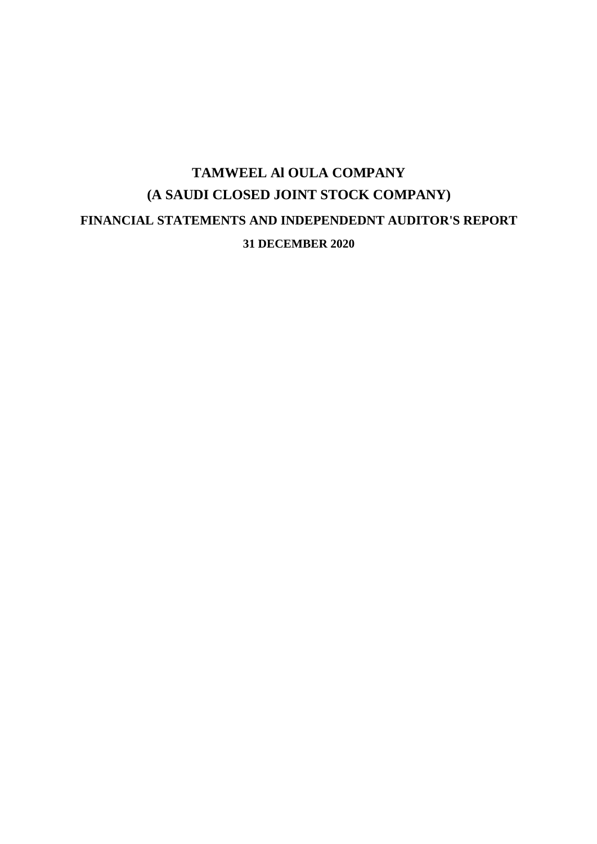# **TAMWEEL Al OULA COMPANY (A SAUDI CLOSED JOINT STOCK COMPANY) FINANCIAL STATEMENTS AND INDEPENDEDNT AUDITOR'S REPORT 31 DECEMBER 2020**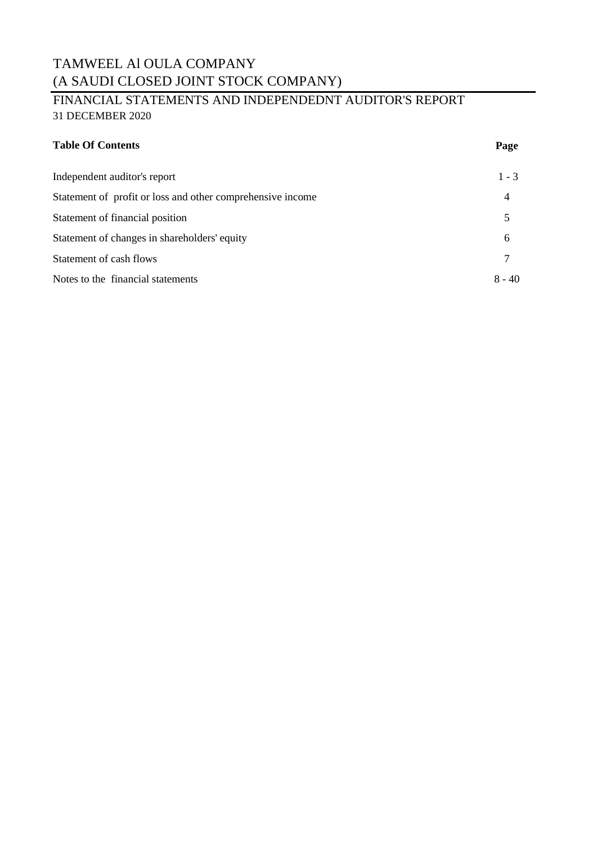### TAMWEEL Al OULA COMPANY (A SAUDI CLOSED JOINT STOCK COMPANY)

### FINANCIAL STATEMENTS AND INDEPENDEDNT AUDITOR'S REPORT 31 DECEMBER 2020

| <b>Table Of Contents</b> | Page |
|--------------------------|------|
|                          |      |

| Independent auditor's report                               | $1 - 3$ |
|------------------------------------------------------------|---------|
| Statement of profit or loss and other comprehensive income | 4       |
| Statement of financial position                            |         |
| Statement of changes in shareholders' equity               | 6       |
| Statement of cash flows                                    |         |
| Notes to the financial statements                          | 8 - 40  |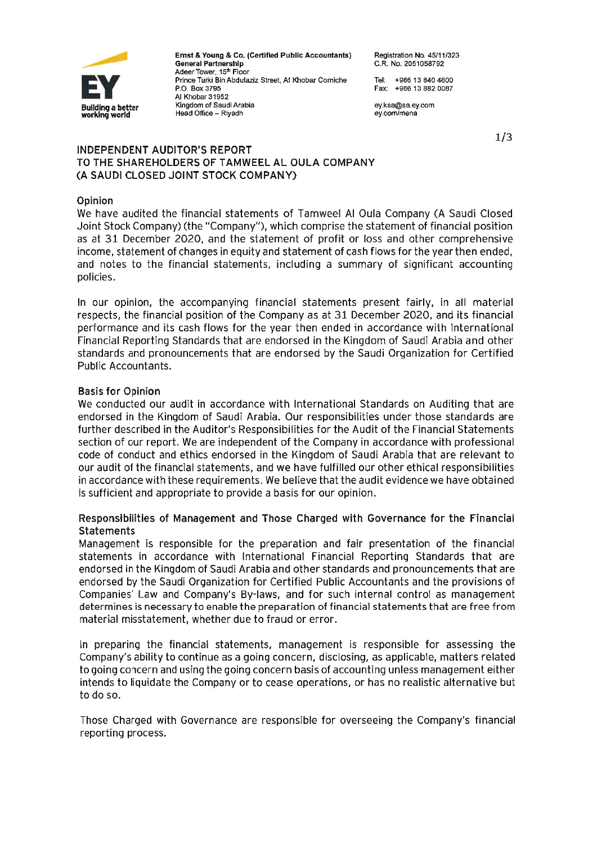

Ernst & Young & Co. (Certified Public Accountants) **General Partnership** Adeer Tower, 15th Floor Prince Turki Bin Abdulaziz Street, Al Khobar Corniche P.O. Box 3795 Al Khobar 31952 Kingdom of Saudi Arabia Head Office - Rivadh

Registration No. 45/11/323 C.R. No. 2051058792

Tel: +966 13 840 4600 Eav: +966 13 882 0087

ev.ksa@sa.ev.com ev.com/mena

 $1/3$ 

#### **INDEPENDENT AUDITOR'S REPORT** TO THE SHAREHOLDERS OF TAMWEEL AL OULA COMPANY (A SAUDI CLOSED JOINT STOCK COMPANY)

#### Opinion

We have audited the financial statements of Tamweel Al Oula Company (A Saudi Closed Joint Stock Company) (the "Company"), which comprise the statement of financial position as at 31 December 2020, and the statement of profit or loss and other comprehensive income, statement of changes in equity and statement of cash flows for the year then ended, and notes to the financial statements, including a summary of significant accounting policies.

In our opinion, the accompanying financial statements present fairly, in all material respects, the financial position of the Company as at 31 December 2020, and its financial performance and its cash flows for the year then ended in accordance with International Financial Reporting Standards that are endorsed in the Kingdom of Saudi Arabia and other standards and pronouncements that are endorsed by the Saudi Organization for Certified Public Accountants.

#### **Basis for Opinion**

We conducted our audit in accordance with International Standards on Auditing that are endorsed in the Kingdom of Saudi Arabia. Our responsibilities under those standards are further described in the Auditor's Responsibilities for the Audit of the Financial Statements section of our report. We are independent of the Company in accordance with professional code of conduct and ethics endorsed in the Kingdom of Saudi Arabia that are relevant to our audit of the financial statements, and we have fulfilled our other ethical responsibilities in accordance with these requirements. We believe that the audit evidence we have obtained is sufficient and appropriate to provide a basis for our opinion.

#### Responsibilities of Management and Those Charged with Governance for the Financial **Statements**

Management is responsible for the preparation and fair presentation of the financial statements in accordance with International Financial Reporting Standards that are endorsed in the Kingdom of Saudi Arabia and other standards and pronouncements that are endorsed by the Saudi Organization for Certified Public Accountants and the provisions of Companies' Law and Company's By-laws, and for such internal control as management determines is necessary to enable the preparation of financial statements that are free from material misstatement, whether due to fraud or error.

In preparing the financial statements, management is responsible for assessing the Company's ability to continue as a going concern, disclosing, as applicable, matters related to going concern and using the going concern basis of accounting unless management either intends to liquidate the Company or to cease operations, or has no realistic alternative but to do so.

Those Charged with Governance are responsible for overseeing the Company's financial reporting process.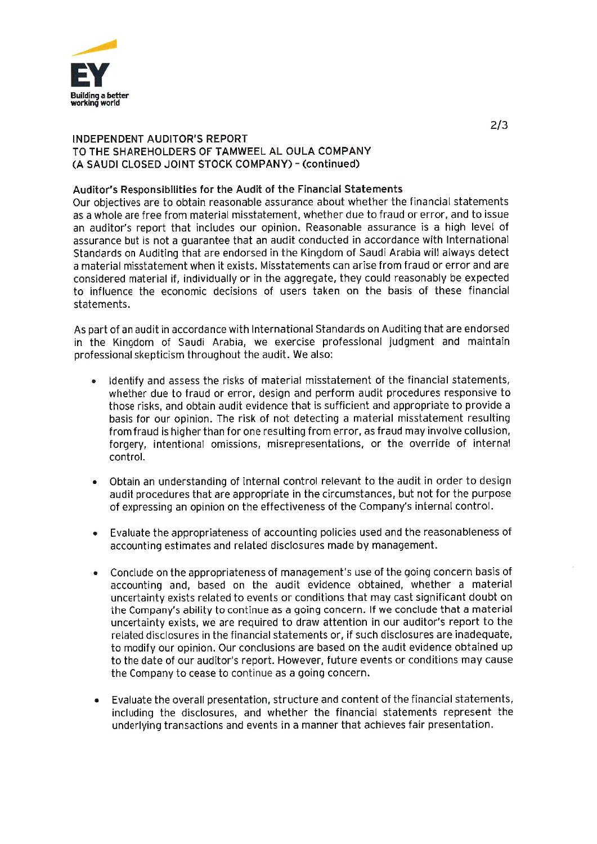

#### **INDEPENDENT AUDITOR'S REPORT** TO THE SHAREHOLDERS OF TAMWEEL AL OULA COMPANY (A SAUDI CLOSED JOINT STOCK COMPANY) - (continued)

#### Auditor's Responsibilities for the Audit of the Financial Statements

Our objectives are to obtain reasonable assurance about whether the financial statements as a whole are free from material misstatement, whether due to fraud or error, and to issue an auditor's report that includes our opinion. Reasonable assurance is a high level of assurance but is not a quarantee that an audit conducted in accordance with International Standards on Auditing that are endorsed in the Kingdom of Saudi Arabia will always detect a material misstatement when it exists. Misstatements can arise from fraud or error and are considered material if, individually or in the aggregate, they could reasonably be expected to influence the economic decisions of users taken on the basis of these financial statements.

As part of an audit in accordance with International Standards on Auditing that are endorsed in the Kingdom of Saudi Arabia, we exercise professional judgment and maintain professional skepticism throughout the audit. We also:

- Identify and assess the risks of material misstatement of the financial statements, whether due to fraud or error, design and perform audit procedures responsive to those risks, and obtain audit evidence that is sufficient and appropriate to provide a basis for our opinion. The risk of not detecting a material misstatement resulting from fraud is higher than for one resulting from error, as fraud may involve collusion, forgery, intentional omissions, misrepresentations, or the override of internal control.
- Obtain an understanding of internal control relevant to the audit in order to design  $\bullet$ audit procedures that are appropriate in the circumstances, but not for the purpose of expressing an opinion on the effectiveness of the Company's internal control.
- Evaluate the appropriateness of accounting policies used and the reasonableness of  $\bullet$ accounting estimates and related disclosures made by management.
- Conclude on the appropriateness of management's use of the going concern basis of  $\bullet$ accounting and, based on the audit evidence obtained, whether a material uncertainty exists related to events or conditions that may cast significant doubt on the Company's ability to continue as a going concern. If we conclude that a material uncertainty exists, we are required to draw attention in our auditor's report to the related disclosures in the financial statements or, if such disclosures are inadequate, to modify our opinion. Our conclusions are based on the audit evidence obtained up to the date of our auditor's report. However, future events or conditions may cause the Company to cease to continue as a going concern.
- Evaluate the overall presentation, structure and content of the financial statements, including the disclosures, and whether the financial statements represent the underlying transactions and events in a manner that achieves fair presentation.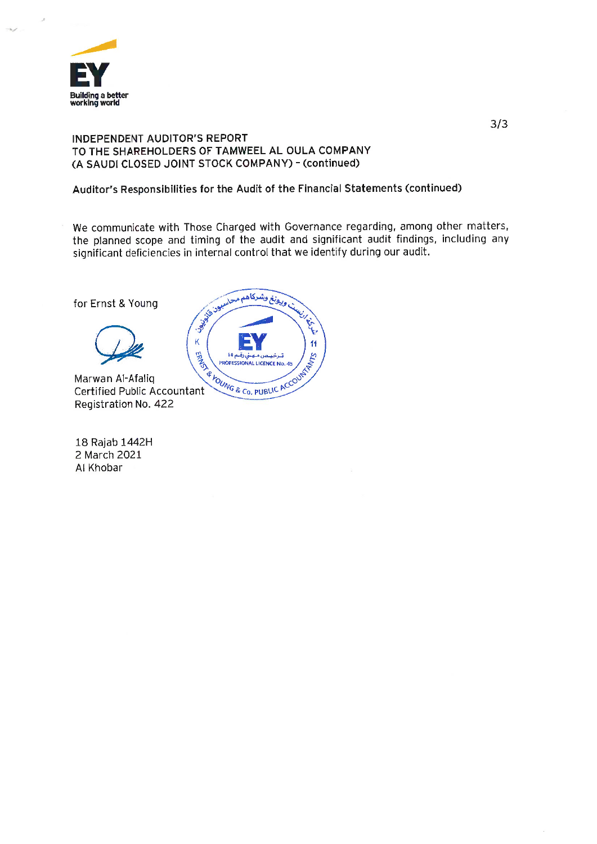

#### INDEPENDENT AUDITOR'S REPORT TO THE SHAREHOLDERS OF TAMWEEL AL OULA COMPANY (A SAUDI CLOSED JOINT STOCK COMPANY) - (continued)

#### Auditor's Responsibilities for the Audit of the Financial Statements (continued)

We communicate with Those Charged with Governance regarding, among other matters, the planned scope and timing of the audit and significant audit findings, including any significant deficiencies in internal control that we identify during our audit.

for Ernst & Young



Marwan Al-Afaliq **Certified Public Accountant** Registration No. 422

18 Rajab 1442H 2 March 2021 Al Khobar

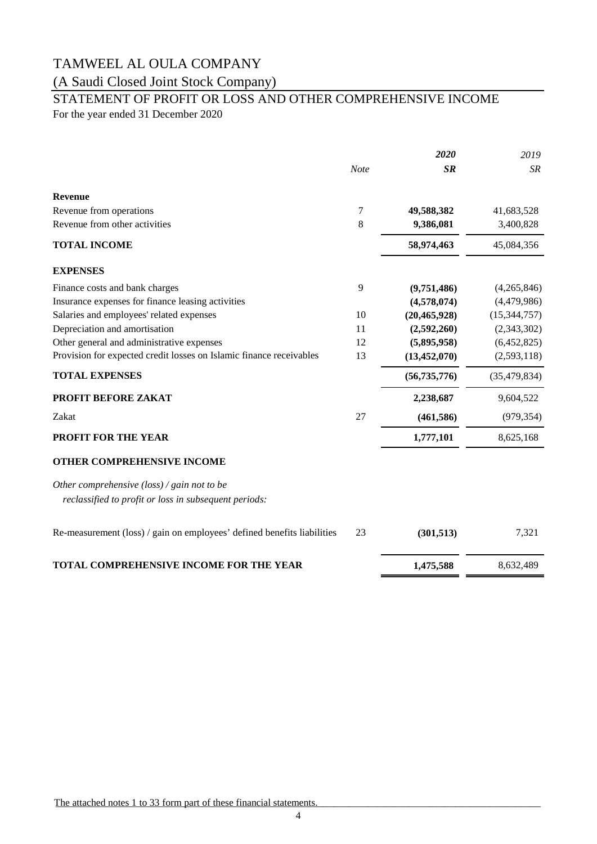### (A Saudi Closed Joint Stock Company)

# STATEMENT OF PROFIT OR LOSS AND OTHER COMPREHENSIVE INCOME

For the year ended 31 December 2020

|                                                                                                               |             | 2020           | 2019           |
|---------------------------------------------------------------------------------------------------------------|-------------|----------------|----------------|
|                                                                                                               | <b>Note</b> | <b>SR</b>      | <b>SR</b>      |
| <b>Revenue</b>                                                                                                |             |                |                |
| Revenue from operations                                                                                       | 7           | 49,588,382     | 41,683,528     |
| Revenue from other activities                                                                                 | 8           | 9,386,081      | 3,400,828      |
| <b>TOTAL INCOME</b>                                                                                           |             | 58,974,463     | 45,084,356     |
| <b>EXPENSES</b>                                                                                               |             |                |                |
| Finance costs and bank charges                                                                                | 9           | (9,751,486)    | (4,265,846)    |
| Insurance expenses for finance leasing activities                                                             |             | (4,578,074)    | (4,479,986)    |
| Salaries and employees' related expenses                                                                      | 10          | (20, 465, 928) | (15, 344, 757) |
| Depreciation and amortisation                                                                                 | 11          | (2,592,260)    | (2,343,302)    |
| Other general and administrative expenses                                                                     | 12          | (5,895,958)    | (6,452,825)    |
| Provision for expected credit losses on Islamic finance receivables                                           | 13          | (13, 452, 070) | (2,593,118)    |
| <b>TOTAL EXPENSES</b>                                                                                         |             | (56, 735, 776) | (35, 479, 834) |
| PROFIT BEFORE ZAKAT                                                                                           |             | 2,238,687      | 9,604,522      |
| Zakat                                                                                                         | 27          | (461, 586)     | (979, 354)     |
| PROFIT FOR THE YEAR                                                                                           |             | 1,777,101      | 8,625,168      |
| OTHER COMPREHENSIVE INCOME                                                                                    |             |                |                |
| Other comprehensive $(\text{loss})$ / gain not to be<br>reclassified to profit or loss in subsequent periods: |             |                |                |
| Re-measurement (loss) / gain on employees' defined benefits liabilities                                       | 23          | (301, 513)     | 7,321          |
| TOTAL COMPREHENSIVE INCOME FOR THE YEAR                                                                       |             | 1,475,588      | 8,632,489      |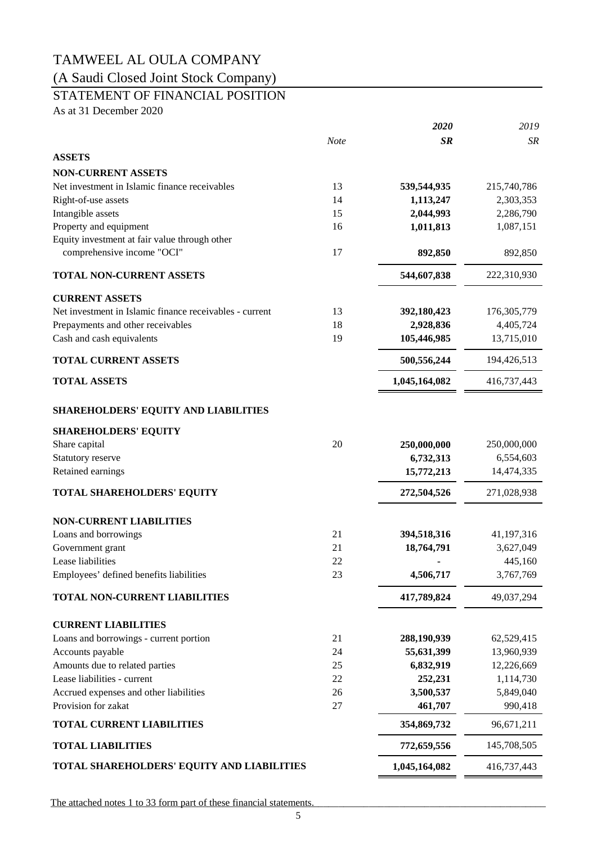(A Saudi Closed Joint Stock Company)

### STATEMENT OF FINANCIAL POSITION

As at 31 December 2020

|                                                         |      | 2020          | 2019          |
|---------------------------------------------------------|------|---------------|---------------|
|                                                         | Note | <b>SR</b>     | SR            |
| <b>ASSETS</b>                                           |      |               |               |
| <b>NON-CURRENT ASSETS</b>                               |      |               |               |
| Net investment in Islamic finance receivables           | 13   | 539,544,935   | 215,740,786   |
| Right-of-use assets                                     | 14   | 1,113,247     | 2,303,353     |
| Intangible assets                                       | 15   | 2,044,993     | 2,286,790     |
| Property and equipment                                  | 16   | 1,011,813     | 1,087,151     |
| Equity investment at fair value through other           |      |               |               |
| comprehensive income "OCI"                              | 17   | 892,850       | 892,850       |
| <b>TOTAL NON-CURRENT ASSETS</b>                         |      | 544,607,838   | 222,310,930   |
| <b>CURRENT ASSETS</b>                                   |      |               |               |
| Net investment in Islamic finance receivables - current | 13   | 392,180,423   | 176, 305, 779 |
| Prepayments and other receivables                       | 18   | 2,928,836     | 4,405,724     |
| Cash and cash equivalents                               | 19   | 105,446,985   | 13,715,010    |
| <b>TOTAL CURRENT ASSETS</b>                             |      | 500,556,244   | 194,426,513   |
| <b>TOTAL ASSETS</b>                                     |      | 1,045,164,082 | 416,737,443   |
| <b>SHAREHOLDERS' EQUITY AND LIABILITIES</b>             |      |               |               |
| <b>SHAREHOLDERS' EQUITY</b>                             |      |               |               |
| Share capital                                           | 20   | 250,000,000   | 250,000,000   |
| Statutory reserve                                       |      | 6,732,313     | 6,554,603     |
| Retained earnings                                       |      | 15,772,213    | 14,474,335    |
| <b>TOTAL SHAREHOLDERS' EQUITY</b>                       |      | 272,504,526   | 271,028,938   |
| <b>NON-CURRENT LIABILITIES</b>                          |      |               |               |
| Loans and borrowings                                    | 21   | 394,518,316   | 41,197,316    |
| Government grant                                        | 21   | 18,764,791    | 3,627,049     |
| Lease liabilities                                       | 22   |               | 445,160       |
| Employees' defined benefits liabilities                 | 23   | 4,506,717     | 3,767,769     |
| TOTAL NON-CURRENT LIABILITIES                           |      | 417,789,824   | 49,037,294    |
| <b>CURRENT LIABILITIES</b>                              |      |               |               |
| Loans and borrowings - current portion                  | 21   | 288,190,939   | 62,529,415    |
| Accounts payable                                        | 24   | 55,631,399    | 13,960,939    |
| Amounts due to related parties                          | 25   | 6,832,919     | 12,226,669    |
| Lease liabilities - current                             | 22   | 252,231       | 1,114,730     |
| Accrued expenses and other liabilities                  | 26   | 3,500,537     | 5,849,040     |
| Provision for zakat                                     | 27   | 461,707       | 990,418       |
| <b>TOTAL CURRENT LIABILITIES</b>                        |      | 354,869,732   | 96,671,211    |
| <b>TOTAL LIABILITIES</b>                                |      | 772,659,556   | 145,708,505   |
| TOTAL SHAREHOLDERS' EQUITY AND LIABILITIES              |      | 1,045,164,082 | 416,737,443   |
|                                                         |      |               |               |

The attached notes 1 to 33 form part of these financial statements.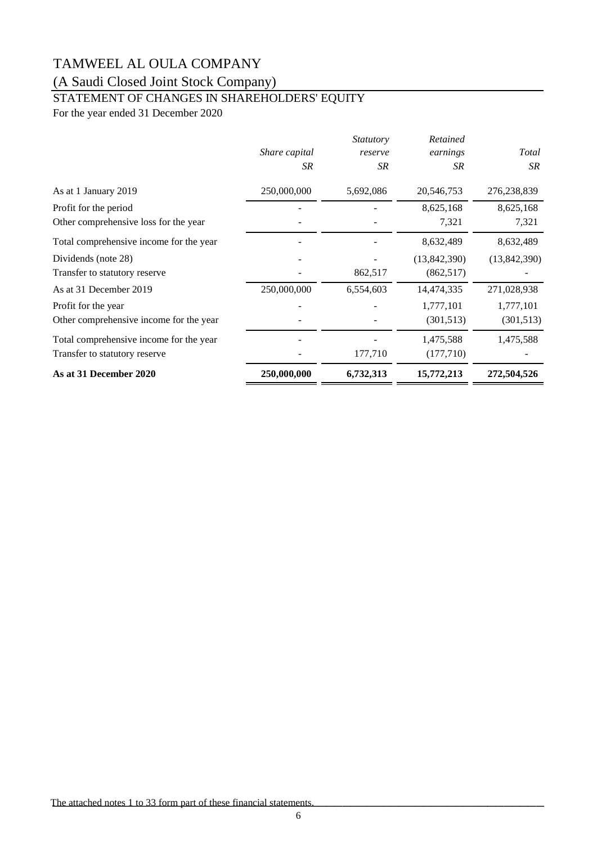## (A Saudi Closed Joint Stock Company)

## STATEMENT OF CHANGES IN SHAREHOLDERS' EQUITY

For the year ended 31 December 2020

|                                         |                     | <i>Statutory</i> | Retained       |              |
|-----------------------------------------|---------------------|------------------|----------------|--------------|
|                                         | Share capital<br>SR | reserve<br>SR    | earnings<br>SR | Total<br>SR  |
|                                         |                     |                  |                |              |
| As at 1 January 2019                    | 250,000,000         | 5,692,086        | 20,546,753     | 276,238,839  |
| Profit for the period                   |                     |                  | 8,625,168      | 8,625,168    |
| Other comprehensive loss for the year   |                     |                  | 7,321          | 7,321        |
| Total comprehensive income for the year |                     |                  | 8,632,489      | 8,632,489    |
| Dividends (note 28)                     |                     |                  | (13,842,390)   | (13,842,390) |
| Transfer to statutory reserve           |                     | 862,517          | (862, 517)     |              |
| As at 31 December 2019                  | 250,000,000         | 6,554,603        | 14,474,335     | 271,028,938  |
| Profit for the year                     |                     |                  | 1,777,101      | 1,777,101    |
| Other comprehensive income for the year |                     |                  | (301, 513)     | (301, 513)   |
| Total comprehensive income for the year |                     |                  | 1,475,588      | 1,475,588    |
| Transfer to statutory reserve           |                     | 177,710          | (177, 710)     |              |
| As at 31 December 2020                  | 250,000,000         | 6,732,313        | 15,772,213     | 272,504,526  |

The attached notes 1 to 33 form part of these financial statements.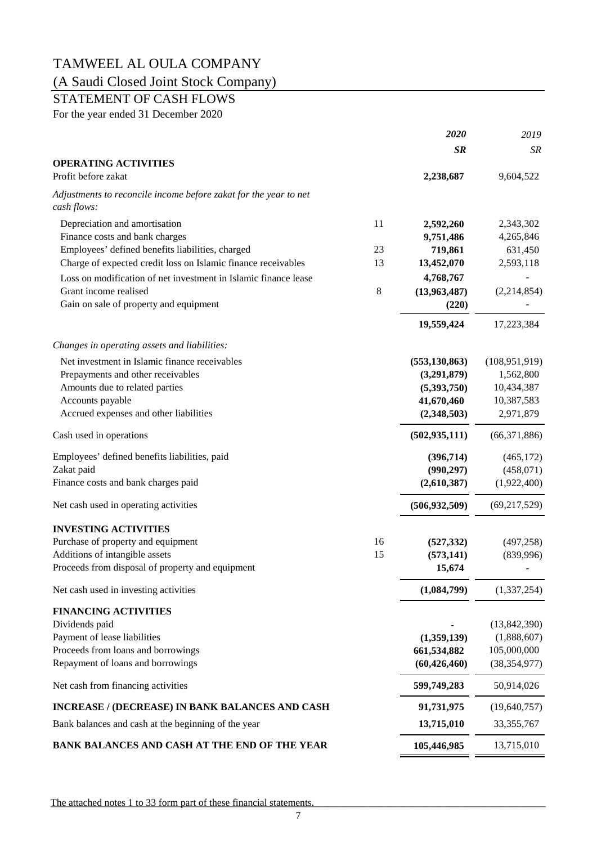### (A Saudi Closed Joint Stock Company)

### STATEMENT OF CASH FLOWS

For the year ended 31 December 2020

|                                                                                 |         | 2020            | 2019            |
|---------------------------------------------------------------------------------|---------|-----------------|-----------------|
|                                                                                 |         | <b>SR</b>       | SR              |
| <b>OPERATING ACTIVITIES</b>                                                     |         |                 |                 |
| Profit before zakat                                                             |         | 2,238,687       | 9,604,522       |
| Adjustments to reconcile income before zakat for the year to net<br>cash flows: |         |                 |                 |
| Depreciation and amortisation                                                   | 11      | 2,592,260       | 2,343,302       |
| Finance costs and bank charges                                                  |         | 9,751,486       | 4,265,846       |
| Employees' defined benefits liabilities, charged                                | 23      | 719,861         | 631,450         |
| Charge of expected credit loss on Islamic finance receivables                   | 13      | 13,452,070      | 2,593,118       |
| Loss on modification of net investment in Islamic finance lease                 |         | 4,768,767       |                 |
| Grant income realised                                                           | $\,8\,$ | (13,963,487)    | (2,214,854)     |
| Gain on sale of property and equipment                                          |         | (220)           |                 |
|                                                                                 |         | 19,559,424      | 17,223,384      |
| Changes in operating assets and liabilities:                                    |         |                 |                 |
| Net investment in Islamic finance receivables                                   |         | (553, 130, 863) | (108, 951, 919) |
| Prepayments and other receivables                                               |         | (3,291,879)     | 1,562,800       |
| Amounts due to related parties                                                  |         | (5,393,750)     | 10,434,387      |
| Accounts payable                                                                |         | 41,670,460      | 10,387,583      |
| Accrued expenses and other liabilities                                          |         | (2,348,503)     | 2,971,879       |
| Cash used in operations                                                         |         | (502, 935, 111) | (66, 371, 886)  |
| Employees' defined benefits liabilities, paid                                   |         | (396, 714)      | (465, 172)      |
| Zakat paid                                                                      |         | (990, 297)      | (458,071)       |
| Finance costs and bank charges paid                                             |         | (2,610,387)     | (1,922,400)     |
| Net cash used in operating activities                                           |         | (506, 932, 509) | (69, 217, 529)  |
| <b>INVESTING ACTIVITIES</b>                                                     |         |                 |                 |
| Purchase of property and equipment                                              | 16      | (527, 332)      | (497, 258)      |
| Additions of intangible assets                                                  | 15      | (573, 141)      | (839,996)       |
| Proceeds from disposal of property and equipment                                |         | 15,674          |                 |
| Net cash used in investing activities                                           |         | (1,084,799)     | (1,337,254)     |
| <b>FINANCING ACTIVITIES</b>                                                     |         |                 |                 |
| Dividends paid                                                                  |         |                 | (13, 842, 390)  |
| Payment of lease liabilities                                                    |         | (1,359,139)     | (1,888,607)     |
| Proceeds from loans and borrowings                                              |         | 661,534,882     | 105,000,000     |
| Repayment of loans and borrowings                                               |         | (60, 426, 460)  | (38, 354, 977)  |
| Net cash from financing activities                                              |         | 599,749,283     | 50,914,026      |
| INCREASE / (DECREASE) IN BANK BALANCES AND CASH                                 |         | 91,731,975      | (19,640,757)    |
| Bank balances and cash at the beginning of the year                             |         | 13,715,010      | 33, 355, 767    |
| BANK BALANCES AND CASH AT THE END OF THE YEAR                                   |         | 105,446,985     | 13,715,010      |
|                                                                                 |         |                 |                 |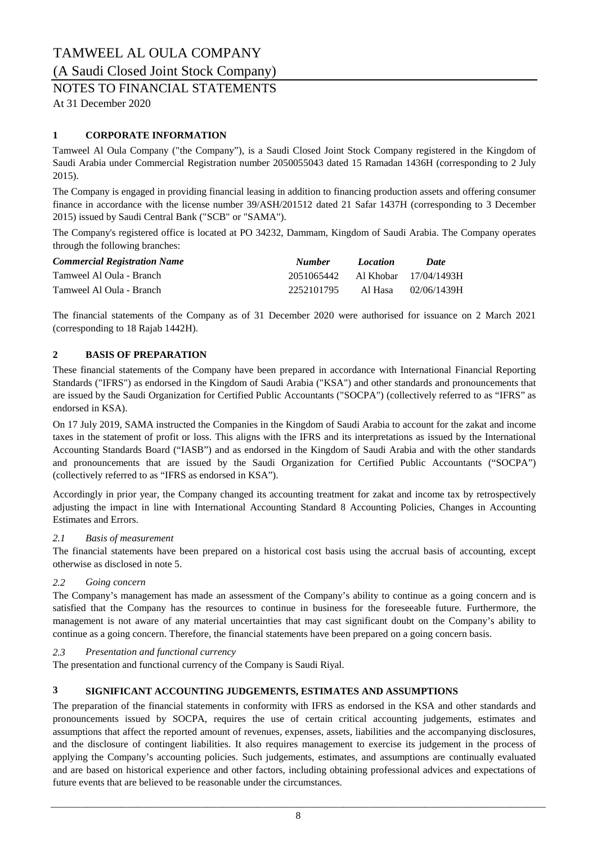#### (A Saudi Closed Joint Stock Company)

### NOTES TO FINANCIAL STATEMENTS

At 31 December 2020

#### **1 CORPORATE INFORMATION**

Tamweel Al Oula Company ("the Company"), is a Saudi Closed Joint Stock Company registered in the Kingdom of Saudi Arabia under Commercial Registration number 2050055043 dated 15 Ramadan 1436H (corresponding to 2 July 2015).

The Company is engaged in providing financial leasing in addition to financing production assets and offering consumer finance in accordance with the license number 39/ASH/201512 dated 21 Safar 1437H (corresponding to 3 December 2015) issued by Saudi Central Bank ("SCB" or "SAMA").

The Company's registered office is located at PO 34232, Dammam, Kingdom of Saudi Arabia. The Company operates through the following branches:

| <b>Commercial Registration Name</b> | <b>Number</b>                    | Location  | Date        |
|-------------------------------------|----------------------------------|-----------|-------------|
| Tamweel Al Oula - Branch            | 2051065442 Al Khobar 17/04/1493H |           |             |
| Tamweel Al Oula - Branch            | 2252101795                       | - Al Hasa | 02/06/1439H |

The financial statements of the Company as of 31 December 2020 were authorised for issuance on 2 March 2021 (corresponding to 18 Rajab 1442H).

#### **2 BASIS OF PREPARATION**

These financial statements of the Company have been prepared in accordance with International Financial Reporting Standards ("IFRS") as endorsed in the Kingdom of Saudi Arabia ("KSA") and other standards and pronouncements that are issued by the Saudi Organization for Certified Public Accountants ("SOCPA") (collectively referred to as "IFRS" as endorsed in KSA).

On 17 July 2019, SAMA instructed the Companies in the Kingdom of Saudi Arabia to account for the zakat and income taxes in the statement of profit or loss. This aligns with the IFRS and its interpretations as issued by the International Accounting Standards Board ("IASB") and as endorsed in the Kingdom of Saudi Arabia and with the other standards and pronouncements that are issued by the Saudi Organization for Certified Public Accountants ("SOCPA") (collectively referred to as "IFRS as endorsed in KSA").

Accordingly in prior year, the Company changed its accounting treatment for zakat and income tax by retrospectively adjusting the impact in line with International Accounting Standard 8 Accounting Policies, Changes in Accounting Estimates and Errors.

#### *2.1 Basis of measurement*

The financial statements have been prepared on a historical cost basis using the accrual basis of accounting, except otherwise as disclosed in note 5.

#### *2.2 Going concern*

The Company's management has made an assessment of the Company's ability to continue as a going concern and is satisfied that the Company has the resources to continue in business for the foreseeable future. Furthermore, the management is not aware of any material uncertainties that may cast significant doubt on the Company's ability to continue as a going concern. Therefore, the financial statements have been prepared on a going concern basis.

#### *2.3 Presentation and functional currency*

The presentation and functional currency of the Company is Saudi Riyal.

#### **3 SIGNIFICANT ACCOUNTING JUDGEMENTS, ESTIMATES AND ASSUMPTIONS**

The preparation of the financial statements in conformity with IFRS as endorsed in the KSA and other standards and pronouncements issued by SOCPA, requires the use of certain critical accounting judgements, estimates and assumptions that affect the reported amount of revenues, expenses, assets, liabilities and the accompanying disclosures, and the disclosure of contingent liabilities. It also requires management to exercise its judgement in the process of applying the Company's accounting policies. Such judgements, estimates, and assumptions are continually evaluated and are based on historical experience and other factors, including obtaining professional advices and expectations of future events that are believed to be reasonable under the circumstances.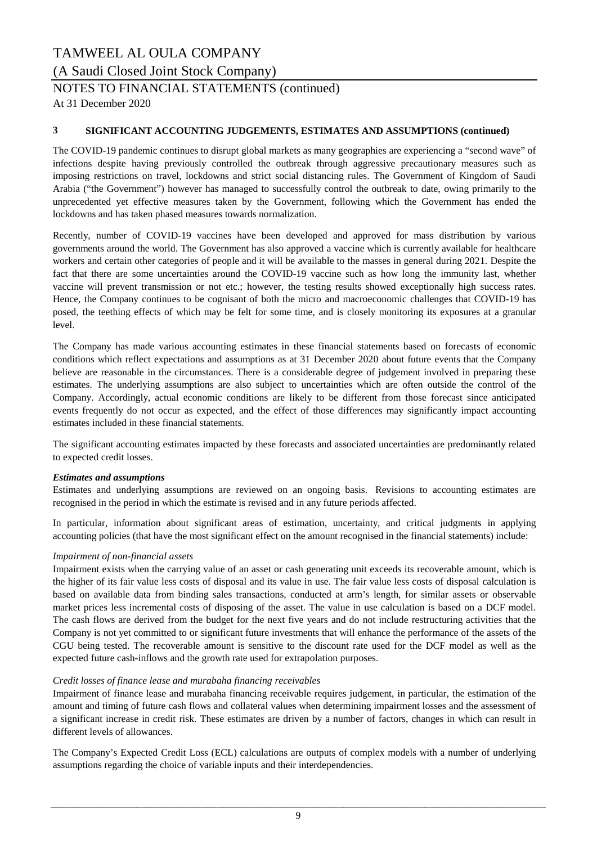## TAMWEEL AL OULA COMPANY (A Saudi Closed Joint Stock Company)

### NOTES TO FINANCIAL STATEMENTS (continued)

At 31 December 2020

#### **3 SIGNIFICANT ACCOUNTING JUDGEMENTS, ESTIMATES AND ASSUMPTIONS (continued)**

The COVID-19 pandemic continues to disrupt global markets as many geographies are experiencing a "second wave" of infections despite having previously controlled the outbreak through aggressive precautionary measures such as imposing restrictions on travel, lockdowns and strict social distancing rules. The Government of Kingdom of Saudi Arabia ("the Government") however has managed to successfully control the outbreak to date, owing primarily to the unprecedented yet effective measures taken by the Government, following which the Government has ended the lockdowns and has taken phased measures towards normalization.

Recently, number of COVID-19 vaccines have been developed and approved for mass distribution by various governments around the world. The Government has also approved a vaccine which is currently available for healthcare workers and certain other categories of people and it will be available to the masses in general during 2021. Despite the fact that there are some uncertainties around the COVID-19 vaccine such as how long the immunity last, whether vaccine will prevent transmission or not etc.; however, the testing results showed exceptionally high success rates. Hence, the Company continues to be cognisant of both the micro and macroeconomic challenges that COVID-19 has posed, the teething effects of which may be felt for some time, and is closely monitoring its exposures at a granular level.

The Company has made various accounting estimates in these financial statements based on forecasts of economic conditions which reflect expectations and assumptions as at 31 December 2020 about future events that the Company believe are reasonable in the circumstances. There is a considerable degree of judgement involved in preparing these estimates. The underlying assumptions are also subject to uncertainties which are often outside the control of the Company. Accordingly, actual economic conditions are likely to be different from those forecast since anticipated events frequently do not occur as expected, and the effect of those differences may significantly impact accounting estimates included in these financial statements.

The significant accounting estimates impacted by these forecasts and associated uncertainties are predominantly related to expected credit losses.

#### *Estimates and assumptions*

Estimates and underlying assumptions are reviewed on an ongoing basis. Revisions to accounting estimates are recognised in the period in which the estimate is revised and in any future periods affected.

In particular, information about significant areas of estimation, uncertainty, and critical judgments in applying accounting policies (that have the most significant effect on the amount recognised in the financial statements) include:

#### *Impairment of non-financial assets*

Impairment exists when the carrying value of an asset or cash generating unit exceeds its recoverable amount, which is the higher of its fair value less costs of disposal and its value in use. The fair value less costs of disposal calculation is based on available data from binding sales transactions, conducted at arm's length, for similar assets or observable market prices less incremental costs of disposing of the asset. The value in use calculation is based on a DCF model. The cash flows are derived from the budget for the next five years and do not include restructuring activities that the Company is not yet committed to or significant future investments that will enhance the performance of the assets of the CGU being tested. The recoverable amount is sensitive to the discount rate used for the DCF model as well as the expected future cash-inflows and the growth rate used for extrapolation purposes.

#### *Credit losses of finance lease and murabaha financing receivables*

Impairment of finance lease and murabaha financing receivable requires judgement, in particular, the estimation of the amount and timing of future cash flows and collateral values when determining impairment losses and the assessment of a significant increase in credit risk. These estimates are driven by a number of factors, changes in which can result in different levels of allowances.

The Company's Expected Credit Loss (ECL) calculations are outputs of complex models with a number of underlying assumptions regarding the choice of variable inputs and their interdependencies.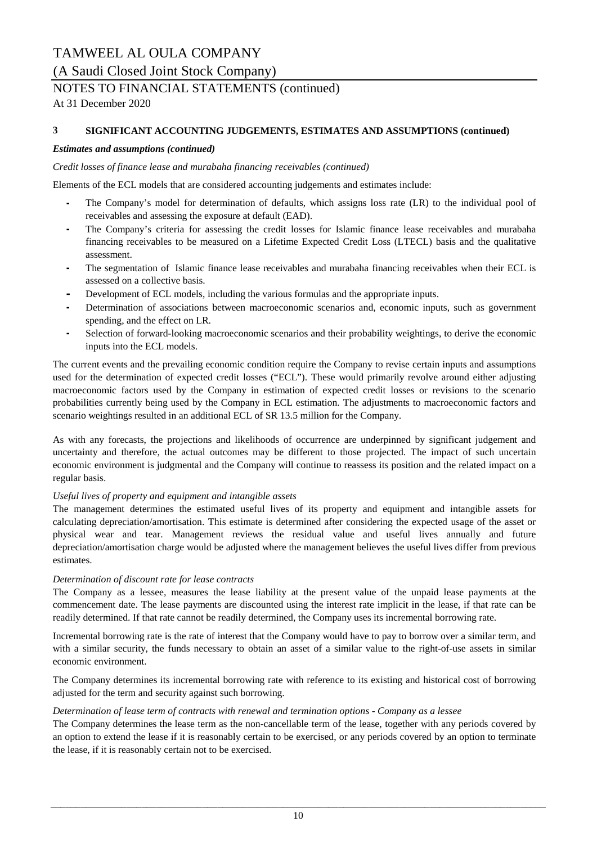### (A Saudi Closed Joint Stock Company)

### NOTES TO FINANCIAL STATEMENTS (continued)

At 31 December 2020

#### **3 SIGNIFICANT ACCOUNTING JUDGEMENTS, ESTIMATES AND ASSUMPTIONS (continued)**

#### *Estimates and assumptions (continued)*

#### *Credit losses of finance lease and murabaha financing receivables (continued)*

Elements of the ECL models that are considered accounting judgements and estimates include:

- **-** The Company's model for determination of defaults, which assigns loss rate (LR) to the individual pool of receivables and assessing the exposure at default (EAD).
- **-** The Company's criteria for assessing the credit losses for Islamic finance lease receivables and murabaha financing receivables to be measured on a Lifetime Expected Credit Loss (LTECL) basis and the qualitative assessment.
- **-** The segmentation of Islamic finance lease receivables and murabaha financing receivables when their ECL is assessed on a collective basis.
- **-** Development of ECL models, including the various formulas and the appropriate inputs.
- **-** Determination of associations between macroeconomic scenarios and, economic inputs, such as government spending, and the effect on LR.
- **-** Selection of forward-looking macroeconomic scenarios and their probability weightings, to derive the economic inputs into the ECL models.

The current events and the prevailing economic condition require the Company to revise certain inputs and assumptions used for the determination of expected credit losses ("ECL"). These would primarily revolve around either adjusting macroeconomic factors used by the Company in estimation of expected credit losses or revisions to the scenario probabilities currently being used by the Company in ECL estimation. The adjustments to macroeconomic factors and scenario weightings resulted in an additional ECL of SR 13.5 million for the Company.

As with any forecasts, the projections and likelihoods of occurrence are underpinned by significant judgement and uncertainty and therefore, the actual outcomes may be different to those projected. The impact of such uncertain economic environment is judgmental and the Company will continue to reassess its position and the related impact on a regular basis.

### *Useful lives of property and equipment and intangible assets*

The management determines the estimated useful lives of its property and equipment and intangible assets for calculating depreciation/amortisation. This estimate is determined after considering the expected usage of the asset or physical wear and tear. Management reviews the residual value and useful lives annually and future depreciation/amortisation charge would be adjusted where the management believes the useful lives differ from previous estimates.

### *Determination of discount rate for lease contracts*

The Company as a lessee, measures the lease liability at the present value of the unpaid lease payments at the commencement date. The lease payments are discounted using the interest rate implicit in the lease, if that rate can be readily determined. If that rate cannot be readily determined, the Company uses its incremental borrowing rate.

Incremental borrowing rate is the rate of interest that the Company would have to pay to borrow over a similar term, and with a similar security, the funds necessary to obtain an asset of a similar value to the right-of-use assets in similar economic environment.

The Company determines its incremental borrowing rate with reference to its existing and historical cost of borrowing adjusted for the term and security against such borrowing.

### *Determination of lease term of contracts with renewal and termination options - Company as a lessee*

The Company determines the lease term as the non-cancellable term of the lease, together with any periods covered by an option to extend the lease if it is reasonably certain to be exercised, or any periods covered by an option to terminate the lease, if it is reasonably certain not to be exercised.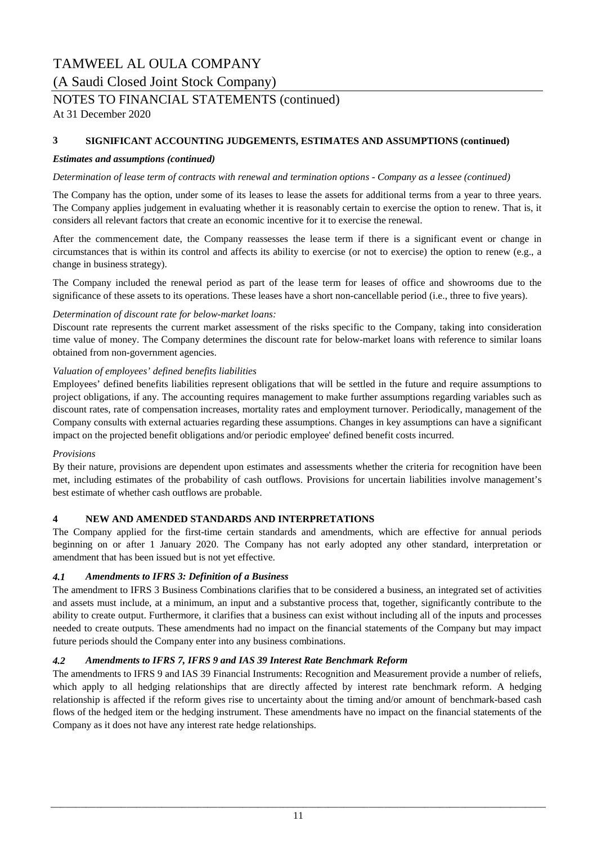### TAMWEEL AL OULA COMPANY (A Saudi Closed Joint Stock Company)

### NOTES TO FINANCIAL STATEMENTS (continued)

At 31 December 2020

#### **3 SIGNIFICANT ACCOUNTING JUDGEMENTS, ESTIMATES AND ASSUMPTIONS (continued)**

#### *Estimates and assumptions (continued)*

#### *Determination of lease term of contracts with renewal and termination options - Company as a lessee (continued)*

The Company has the option, under some of its leases to lease the assets for additional terms from a year to three years. The Company applies judgement in evaluating whether it is reasonably certain to exercise the option to renew. That is, it considers all relevant factors that create an economic incentive for it to exercise the renewal.

After the commencement date, the Company reassesses the lease term if there is a significant event or change in circumstances that is within its control and affects its ability to exercise (or not to exercise) the option to renew (e.g., a change in business strategy).

The Company included the renewal period as part of the lease term for leases of office and showrooms due to the significance of these assets to its operations. These leases have a short non-cancellable period (i.e., three to five years).

#### *Determination of discount rate for below-market loans:*

Discount rate represents the current market assessment of the risks specific to the Company, taking into consideration time value of money. The Company determines the discount rate for below-market loans with reference to similar loans obtained from non-government agencies.

#### *Valuation of employees' defined benefits liabilities*

Employees' defined benefits liabilities represent obligations that will be settled in the future and require assumptions to project obligations, if any. The accounting requires management to make further assumptions regarding variables such as discount rates, rate of compensation increases, mortality rates and employment turnover. Periodically, management of the Company consults with external actuaries regarding these assumptions. Changes in key assumptions can have a significant impact on the projected benefit obligations and/or periodic employee' defined benefit costs incurred.

#### *Provisions*

By their nature, provisions are dependent upon estimates and assessments whether the criteria for recognition have been met, including estimates of the probability of cash outflows. Provisions for uncertain liabilities involve management's best estimate of whether cash outflows are probable.

#### **4 NEW AND AMENDED STANDARDS AND INTERPRETATIONS**

The Company applied for the first-time certain standards and amendments, which are effective for annual periods beginning on or after 1 January 2020. The Company has not early adopted any other standard, interpretation or amendment that has been issued but is not yet effective.

#### *4.1 Amendments to IFRS 3: Definition of a Business*

The amendment to IFRS 3 Business Combinations clarifies that to be considered a business, an integrated set of activities and assets must include, at a minimum, an input and a substantive process that, together, significantly contribute to the ability to create output. Furthermore, it clarifies that a business can exist without including all of the inputs and processes needed to create outputs. These amendments had no impact on the financial statements of the Company but may impact future periods should the Company enter into any business combinations.

#### *4.2 Amendments to IFRS 7, IFRS 9 and IAS 39 Interest Rate Benchmark Reform*

The amendments to IFRS 9 and IAS 39 Financial Instruments: Recognition and Measurement provide a number of reliefs, which apply to all hedging relationships that are directly affected by interest rate benchmark reform. A hedging relationship is affected if the reform gives rise to uncertainty about the timing and/or amount of benchmark-based cash flows of the hedged item or the hedging instrument. These amendments have no impact on the financial statements of the Company as it does not have any interest rate hedge relationships.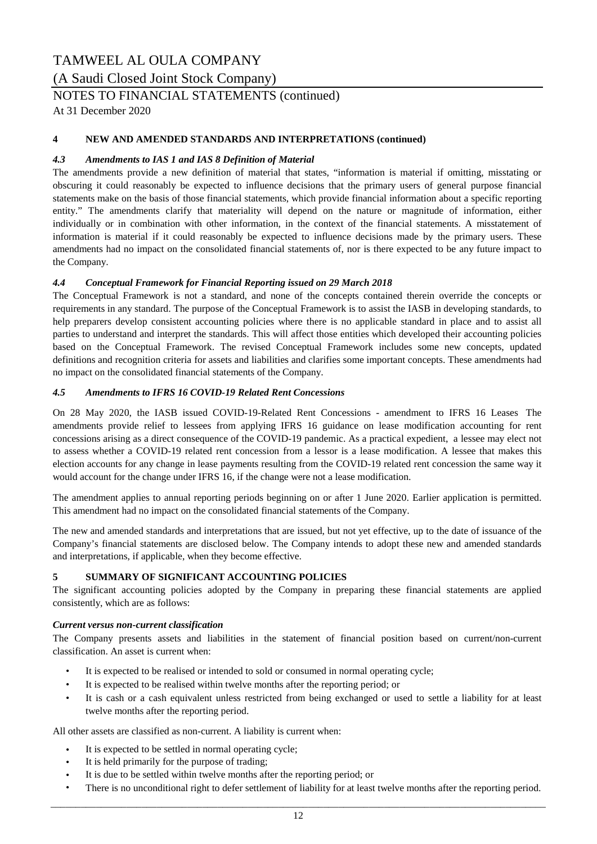(A Saudi Closed Joint Stock Company)

### NOTES TO FINANCIAL STATEMENTS (continued)

At 31 December 2020

#### **4 NEW AND AMENDED STANDARDS AND INTERPRETATIONS (continued)**

#### *4.3 Amendments to IAS 1 and IAS 8 Definition of Material*

The amendments provide a new definition of material that states, "information is material if omitting, misstating or obscuring it could reasonably be expected to influence decisions that the primary users of general purpose financial statements make on the basis of those financial statements, which provide financial information about a specific reporting entity." The amendments clarify that materiality will depend on the nature or magnitude of information, either individually or in combination with other information, in the context of the financial statements. A misstatement of information is material if it could reasonably be expected to influence decisions made by the primary users. These amendments had no impact on the consolidated financial statements of, nor is there expected to be any future impact to the Company.

#### *4.4 Conceptual Framework for Financial Reporting issued on 29 March 2018*

The Conceptual Framework is not a standard, and none of the concepts contained therein override the concepts or requirements in any standard. The purpose of the Conceptual Framework is to assist the IASB in developing standards, to help preparers develop consistent accounting policies where there is no applicable standard in place and to assist all parties to understand and interpret the standards. This will affect those entities which developed their accounting policies based on the Conceptual Framework. The revised Conceptual Framework includes some new concepts, updated definitions and recognition criteria for assets and liabilities and clarifies some important concepts. These amendments had no impact on the consolidated financial statements of the Company.

#### *4.5 Amendments to IFRS 16 COVID-19 Related Rent Concessions*

On 28 May 2020, the IASB issued COVID-19-Related Rent Concessions - amendment to IFRS 16 Leases The amendments provide relief to lessees from applying IFRS 16 guidance on lease modification accounting for rent concessions arising as a direct consequence of the COVID-19 pandemic. As a practical expedient, a lessee may elect not to assess whether a COVID-19 related rent concession from a lessor is a lease modification. A lessee that makes this election accounts for any change in lease payments resulting from the COVID-19 related rent concession the same way it would account for the change under IFRS 16, if the change were not a lease modification.

The amendment applies to annual reporting periods beginning on or after 1 June 2020. Earlier application is permitted. This amendment had no impact on the consolidated financial statements of the Company.

The new and amended standards and interpretations that are issued, but not yet effective, up to the date of issuance of the Company's financial statements are disclosed below. The Company intends to adopt these new and amended standards and interpretations, if applicable, when they become effective.

#### **5 SUMMARY OF SIGNIFICANT ACCOUNTING POLICIES**

The significant accounting policies adopted by the Company in preparing these financial statements are applied consistently, which are as follows:

#### *Current versus non-current classification*

The Company presents assets and liabilities in the statement of financial position based on current/non-current classification. An asset is current when:

- It is expected to be realised or intended to sold or consumed in normal operating cycle;
- It is expected to be realised within twelve months after the reporting period; or
- It is cash or a cash equivalent unless restricted from being exchanged or used to settle a liability for at least twelve months after the reporting period.

All other assets are classified as non-current. A liability is current when:

- It is expected to be settled in normal operating cycle;
- It is held primarily for the purpose of trading;
- It is due to be settled within twelve months after the reporting period; or
- There is no unconditional right to defer settlement of liability for at least twelve months after the reporting period.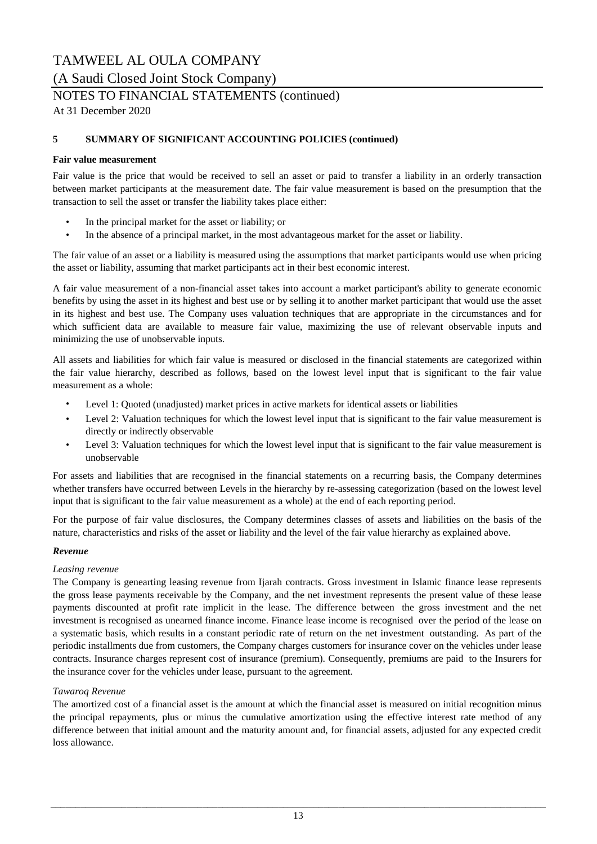(A Saudi Closed Joint Stock Company)

# NOTES TO FINANCIAL STATEMENTS (continued)

At 31 December 2020

#### **5 SUMMARY OF SIGNIFICANT ACCOUNTING POLICIES (continued)**

#### **Fair value measurement**

Fair value is the price that would be received to sell an asset or paid to transfer a liability in an orderly transaction between market participants at the measurement date. The fair value measurement is based on the presumption that the transaction to sell the asset or transfer the liability takes place either:

- In the principal market for the asset or liability; or
- In the absence of a principal market, in the most advantageous market for the asset or liability.

The fair value of an asset or a liability is measured using the assumptions that market participants would use when pricing the asset or liability, assuming that market participants act in their best economic interest.

A fair value measurement of a non-financial asset takes into account a market participant's ability to generate economic benefits by using the asset in its highest and best use or by selling it to another market participant that would use the asset in its highest and best use. The Company uses valuation techniques that are appropriate in the circumstances and for which sufficient data are available to measure fair value, maximizing the use of relevant observable inputs and minimizing the use of unobservable inputs.

All assets and liabilities for which fair value is measured or disclosed in the financial statements are categorized within the fair value hierarchy, described as follows, based on the lowest level input that is significant to the fair value measurement as a whole:

- Level 1: Quoted (unadjusted) market prices in active markets for identical assets or liabilities
- Level 2: Valuation techniques for which the lowest level input that is significant to the fair value measurement is directly or indirectly observable
- Level 3: Valuation techniques for which the lowest level input that is significant to the fair value measurement is unobservable

For assets and liabilities that are recognised in the financial statements on a recurring basis, the Company determines whether transfers have occurred between Levels in the hierarchy by re-assessing categorization (based on the lowest level input that is significant to the fair value measurement as a whole) at the end of each reporting period.

For the purpose of fair value disclosures, the Company determines classes of assets and liabilities on the basis of the nature, characteristics and risks of the asset or liability and the level of the fair value hierarchy as explained above.

#### *Revenue*

#### *Leasing revenue*

The Company is genearting leasing revenue from Ijarah contracts. Gross investment in Islamic finance lease represents the gross lease payments receivable by the Company, and the net investment represents the present value of these lease payments discounted at profit rate implicit in the lease. The difference between the gross investment and the net investment is recognised as unearned finance income. Finance lease income is recognised over the period of the lease on a systematic basis, which results in a constant periodic rate of return on the net investment outstanding. As part of the periodic installments due from customers, the Company charges customers for insurance cover on the vehicles under lease contracts. Insurance charges represent cost of insurance (premium). Consequently, premiums are paid to the Insurers for the insurance cover for the vehicles under lease, pursuant to the agreement.

#### *Tawaroq Revenue*

The amortized cost of a financial asset is the amount at which the financial asset is measured on initial recognition minus the principal repayments, plus or minus the cumulative amortization using the effective interest rate method of any difference between that initial amount and the maturity amount and, for financial assets, adjusted for any expected credit loss allowance.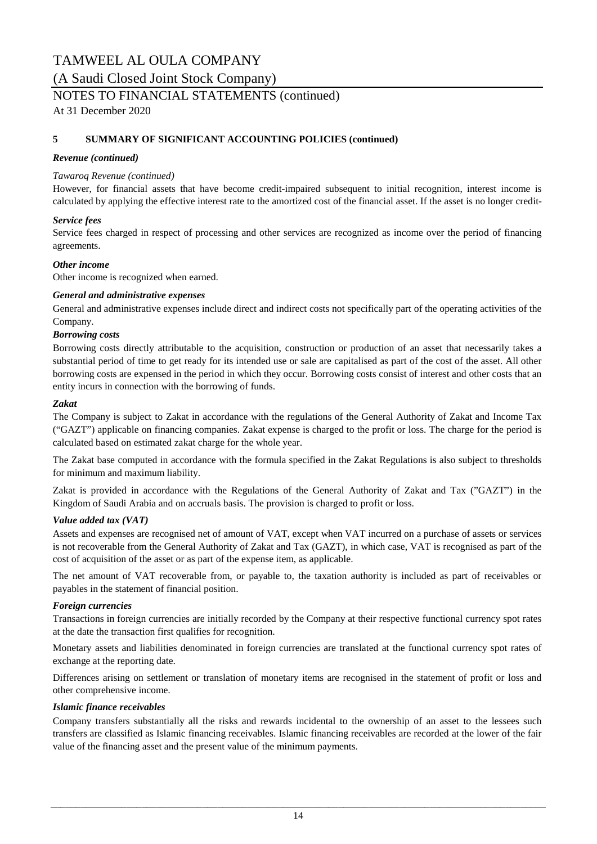(A Saudi Closed Joint Stock Company)

### NOTES TO FINANCIAL STATEMENTS (continued)

At 31 December 2020

#### **5 SUMMARY OF SIGNIFICANT ACCOUNTING POLICIES (continued)**

#### *Revenue (continued)*

#### *Tawaroq Revenue (continued)*

However, for financial assets that have become credit-impaired subsequent to initial recognition, interest income is calculated by applying the effective interest rate to the amortized cost of the financial asset. If the asset is no longer credit-

#### *Service fees*

Service fees charged in respect of processing and other services are recognized as income over the period of financing agreements.

#### *Other income*

Other income is recognized when earned.

#### *General and administrative expenses*

General and administrative expenses include direct and indirect costs not specifically part of the operating activities of the Company.

#### *Borrowing costs*

Borrowing costs directly attributable to the acquisition, construction or production of an asset that necessarily takes a substantial period of time to get ready for its intended use or sale are capitalised as part of the cost of the asset. All other borrowing costs are expensed in the period in which they occur. Borrowing costs consist of interest and other costs that an entity incurs in connection with the borrowing of funds.

#### *Zakat*

The Company is subject to Zakat in accordance with the regulations of the General Authority of Zakat and Income Tax ("GAZT") applicable on financing companies. Zakat expense is charged to the profit or loss. The charge for the period is calculated based on estimated zakat charge for the whole year.

The Zakat base computed in accordance with the formula specified in the Zakat Regulations is also subject to thresholds for minimum and maximum liability.

Zakat is provided in accordance with the Regulations of the General Authority of Zakat and Tax ("GAZT") in the Kingdom of Saudi Arabia and on accruals basis. The provision is charged to profit or loss.

#### *Value added tax (VAT)*

Assets and expenses are recognised net of amount of VAT, except when VAT incurred on a purchase of assets or services is not recoverable from the General Authority of Zakat and Tax (GAZT), in which case, VAT is recognised as part of the cost of acquisition of the asset or as part of the expense item, as applicable.

The net amount of VAT recoverable from, or payable to, the taxation authority is included as part of receivables or payables in the statement of financial position.

#### *Foreign currencies*

Transactions in foreign currencies are initially recorded by the Company at their respective functional currency spot rates at the date the transaction first qualifies for recognition.

Monetary assets and liabilities denominated in foreign currencies are translated at the functional currency spot rates of exchange at the reporting date.

Differences arising on settlement or translation of monetary items are recognised in the statement of profit or loss and other comprehensive income.

#### *Islamic finance receivables*

Company transfers substantially all the risks and rewards incidental to the ownership of an asset to the lessees such transfers are classified as Islamic financing receivables. Islamic financing receivables are recorded at the lower of the fair value of the financing asset and the present value of the minimum payments.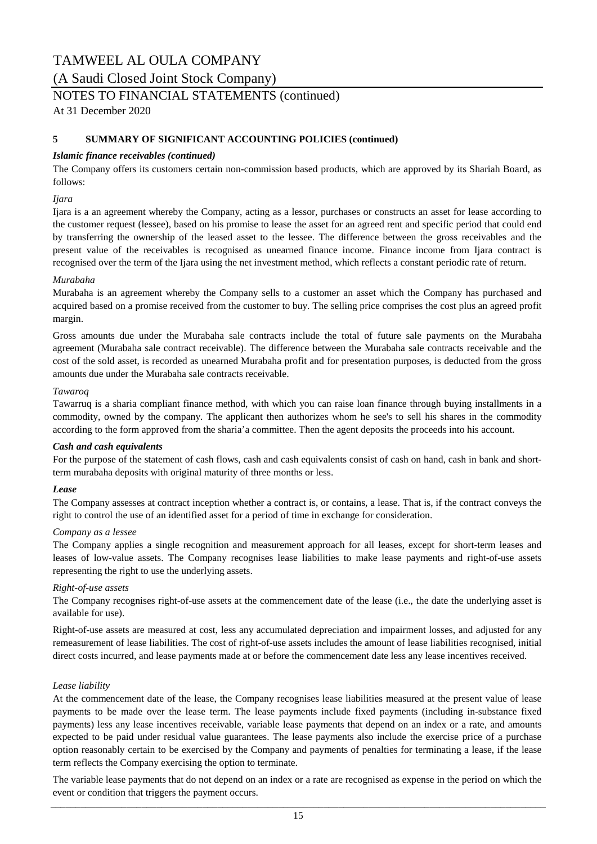(A Saudi Closed Joint Stock Company)

### NOTES TO FINANCIAL STATEMENTS (continued)

At 31 December 2020

#### **5 SUMMARY OF SIGNIFICANT ACCOUNTING POLICIES (continued)**

#### *Islamic finance receivables (continued)*

The Company offers its customers certain non-commission based products, which are approved by its Shariah Board, as follows:

#### *Ijara*

Ijara is a an agreement whereby the Company, acting as a lessor, purchases or constructs an asset for lease according to the customer request (lessee), based on his promise to lease the asset for an agreed rent and specific period that could end by transferring the ownership of the leased asset to the lessee. The difference between the gross receivables and the present value of the receivables is recognised as unearned finance income. Finance income from Ijara contract is recognised over the term of the Ijara using the net investment method, which reflects a constant periodic rate of return.

#### *Murabaha*

Murabaha is an agreement whereby the Company sells to a customer an asset which the Company has purchased and acquired based on a promise received from the customer to buy. The selling price comprises the cost plus an agreed profit margin.

Gross amounts due under the Murabaha sale contracts include the total of future sale payments on the Murabaha agreement (Murabaha sale contract receivable). The difference between the Murabaha sale contracts receivable and the cost of the sold asset, is recorded as unearned Murabaha profit and for presentation purposes, is deducted from the gross amounts due under the Murabaha sale contracts receivable.

#### *Tawaroq*

Tawarruq is a sharia compliant finance method, with which you can raise loan finance through buying installments in a commodity, owned by the company. The applicant then authorizes whom he see's to sell his shares in the commodity according to the form approved from the sharia'a committee. Then the agent deposits the proceeds into his account.

#### *Cash and cash equivalents*

For the purpose of the statement of cash flows, cash and cash equivalents consist of cash on hand, cash in bank and shortterm murabaha deposits with original maturity of three months or less.

#### *Lease*

The Company assesses at contract inception whether a contract is, or contains, a lease. That is, if the contract conveys the right to control the use of an identified asset for a period of time in exchange for consideration.

#### *Company as a lessee*

The Company applies a single recognition and measurement approach for all leases, except for short-term leases and leases of low-value assets. The Company recognises lease liabilities to make lease payments and right-of-use assets representing the right to use the underlying assets.

#### *Right-of-use assets*

The Company recognises right-of-use assets at the commencement date of the lease (i.e., the date the underlying asset is available for use).

Right-of-use assets are measured at cost, less any accumulated depreciation and impairment losses, and adjusted for any remeasurement of lease liabilities. The cost of right-of-use assets includes the amount of lease liabilities recognised, initial direct costs incurred, and lease payments made at or before the commencement date less any lease incentives received.

#### *Lease liability*

At the commencement date of the lease, the Company recognises lease liabilities measured at the present value of lease payments to be made over the lease term. The lease payments include fixed payments (including in-substance fixed payments) less any lease incentives receivable, variable lease payments that depend on an index or a rate, and amounts expected to be paid under residual value guarantees. The lease payments also include the exercise price of a purchase option reasonably certain to be exercised by the Company and payments of penalties for terminating a lease, if the lease term reflects the Company exercising the option to terminate.

The variable lease payments that do not depend on an index or a rate are recognised as expense in the period on which the event or condition that triggers the payment occurs. \_\_\_\_\_\_\_\_\_\_\_\_\_\_\_\_\_\_\_\_\_\_\_\_\_\_\_\_\_\_\_\_\_\_\_\_\_\_\_\_\_\_\_\_\_\_\_\_\_\_\_\_\_\_\_\_\_\_\_\_\_\_\_\_\_\_\_\_\_\_\_\_\_\_\_\_\_\_\_\_\_\_\_\_\_\_\_\_\_\_\_\_\_\_\_\_\_\_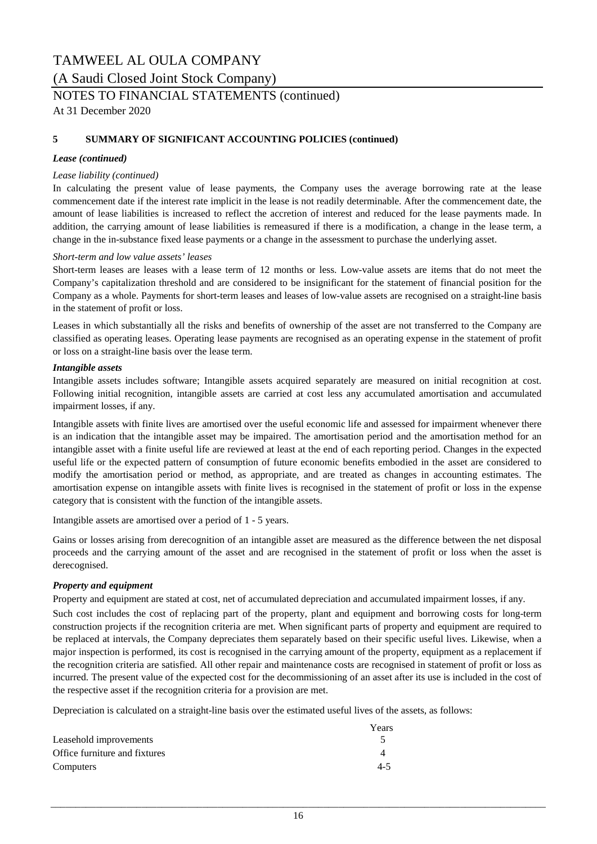(A Saudi Closed Joint Stock Company)

### NOTES TO FINANCIAL STATEMENTS (continued)

At 31 December 2020

### **5 SUMMARY OF SIGNIFICANT ACCOUNTING POLICIES (continued)**

#### *Lease (continued)*

#### *Lease liability (continued)*

In calculating the present value of lease payments, the Company uses the average borrowing rate at the lease commencement date if the interest rate implicit in the lease is not readily determinable. After the commencement date, the amount of lease liabilities is increased to reflect the accretion of interest and reduced for the lease payments made. In addition, the carrying amount of lease liabilities is remeasured if there is a modification, a change in the lease term, a change in the in-substance fixed lease payments or a change in the assessment to purchase the underlying asset.

#### *Short-term and low value assets' leases*

Short-term leases are leases with a lease term of 12 months or less. Low-value assets are items that do not meet the Company's capitalization threshold and are considered to be insignificant for the statement of financial position for the Company as a whole. Payments for short-term leases and leases of low-value assets are recognised on a straight-line basis in the statement of profit or loss.

Leases in which substantially all the risks and benefits of ownership of the asset are not transferred to the Company are classified as operating leases. Operating lease payments are recognised as an operating expense in the statement of profit or loss on a straight-line basis over the lease term.

#### *Intangible assets*

Intangible assets includes software; Intangible assets acquired separately are measured on initial recognition at cost. Following initial recognition, intangible assets are carried at cost less any accumulated amortisation and accumulated impairment losses, if any.

Intangible assets with finite lives are amortised over the useful economic life and assessed for impairment whenever there is an indication that the intangible asset may be impaired. The amortisation period and the amortisation method for an intangible asset with a finite useful life are reviewed at least at the end of each reporting period. Changes in the expected useful life or the expected pattern of consumption of future economic benefits embodied in the asset are considered to modify the amortisation period or method, as appropriate, and are treated as changes in accounting estimates. The amortisation expense on intangible assets with finite lives is recognised in the statement of profit or loss in the expense category that is consistent with the function of the intangible assets.

Intangible assets are amortised over a period of 1 - 5 years.

Gains or losses arising from derecognition of an intangible asset are measured as the difference between the net disposal proceeds and the carrying amount of the asset and are recognised in the statement of profit or loss when the asset is derecognised.

#### *Property and equipment*

Property and equipment are stated at cost, net of accumulated depreciation and accumulated impairment losses, if any.

Such cost includes the cost of replacing part of the property, plant and equipment and borrowing costs for long-term construction projects if the recognition criteria are met. When significant parts of property and equipment are required to be replaced at intervals, the Company depreciates them separately based on their specific useful lives. Likewise, when a major inspection is performed, its cost is recognised in the carrying amount of the property, equipment as a replacement if the recognition criteria are satisfied. All other repair and maintenance costs are recognised in statement of profit or loss as incurred. The present value of the expected cost for the decommissioning of an asset after its use is included in the cost of the respective asset if the recognition criteria for a provision are met.

Depreciation is calculated on a straight-line basis over the estimated useful lives of the assets, as follows:

|                               | Years |
|-------------------------------|-------|
| Leasehold improvements        |       |
| Office furniture and fixtures |       |
| Computers                     | 4-5   |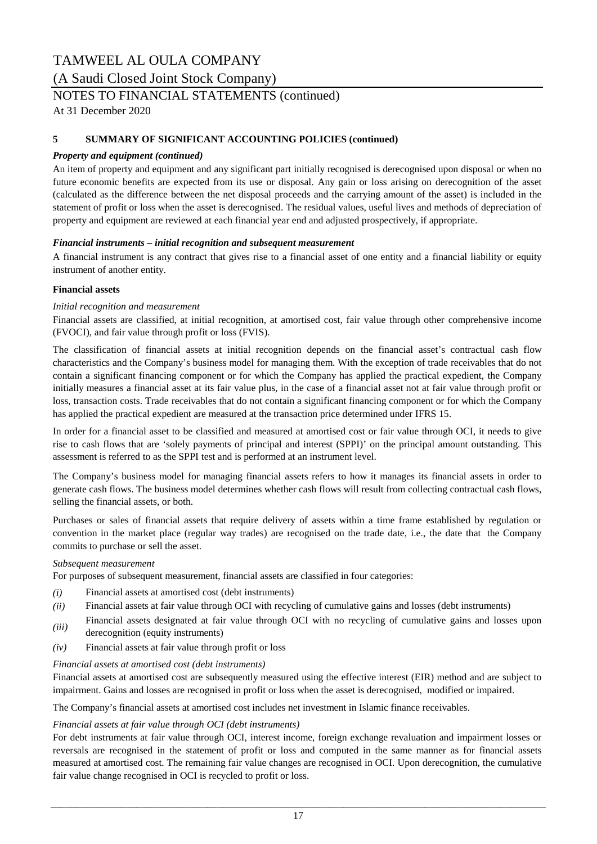(A Saudi Closed Joint Stock Company)

### NOTES TO FINANCIAL STATEMENTS (continued)

At 31 December 2020

#### **5 SUMMARY OF SIGNIFICANT ACCOUNTING POLICIES (continued)**

#### *Property and equipment (continued)*

An item of property and equipment and any significant part initially recognised is derecognised upon disposal or when no future economic benefits are expected from its use or disposal. Any gain or loss arising on derecognition of the asset (calculated as the difference between the net disposal proceeds and the carrying amount of the asset) is included in the statement of profit or loss when the asset is derecognised. The residual values, useful lives and methods of depreciation of property and equipment are reviewed at each financial year end and adjusted prospectively, if appropriate.

#### *Financial instruments – initial recognition and subsequent measurement*

A financial instrument is any contract that gives rise to a financial asset of one entity and a financial liability or equity instrument of another entity.

#### **Financial assets**

#### *Initial recognition and measurement*

Financial assets are classified, at initial recognition, at amortised cost, fair value through other comprehensive income (FVOCI), and fair value through profit or loss (FVIS).

The classification of financial assets at initial recognition depends on the financial asset's contractual cash flow characteristics and the Company's business model for managing them. With the exception of trade receivables that do not contain a significant financing component or for which the Company has applied the practical expedient, the Company initially measures a financial asset at its fair value plus, in the case of a financial asset not at fair value through profit or loss, transaction costs. Trade receivables that do not contain a significant financing component or for which the Company has applied the practical expedient are measured at the transaction price determined under IFRS 15.

In order for a financial asset to be classified and measured at amortised cost or fair value through OCI, it needs to give rise to cash flows that are 'solely payments of principal and interest (SPPI)' on the principal amount outstanding. This assessment is referred to as the SPPI test and is performed at an instrument level.

The Company's business model for managing financial assets refers to how it manages its financial assets in order to generate cash flows. The business model determines whether cash flows will result from collecting contractual cash flows, selling the financial assets, or both.

Purchases or sales of financial assets that require delivery of assets within a time frame established by regulation or convention in the market place (regular way trades) are recognised on the trade date, i.e., the date that the Company commits to purchase or sell the asset.

#### *Subsequent measurement*

For purposes of subsequent measurement, financial assets are classified in four categories:

- *(i)* Financial assets at amortised cost (debt instruments)
- *(ii)* Financial assets at fair value through OCI with recycling of cumulative gains and losses (debt instruments)
- *(iii)* Financial assets designated at fair value through OCI with no recycling of cumulative gains and losses upon derecognition (equity instruments)
- *(iv)* Financial assets at fair value through profit or loss

#### *Financial assets at amortised cost (debt instruments)*

Financial assets at amortised cost are subsequently measured using the effective interest (EIR) method and are subject to impairment. Gains and losses are recognised in profit or loss when the asset is derecognised, modified or impaired.

The Company's financial assets at amortised cost includes net investment in Islamic finance receivables.

#### *Financial assets at fair value through OCI (debt instruments)*

For debt instruments at fair value through OCI, interest income, foreign exchange revaluation and impairment losses or reversals are recognised in the statement of profit or loss and computed in the same manner as for financial assets measured at amortised cost. The remaining fair value changes are recognised in OCI. Upon derecognition, the cumulative fair value change recognised in OCI is recycled to profit or loss.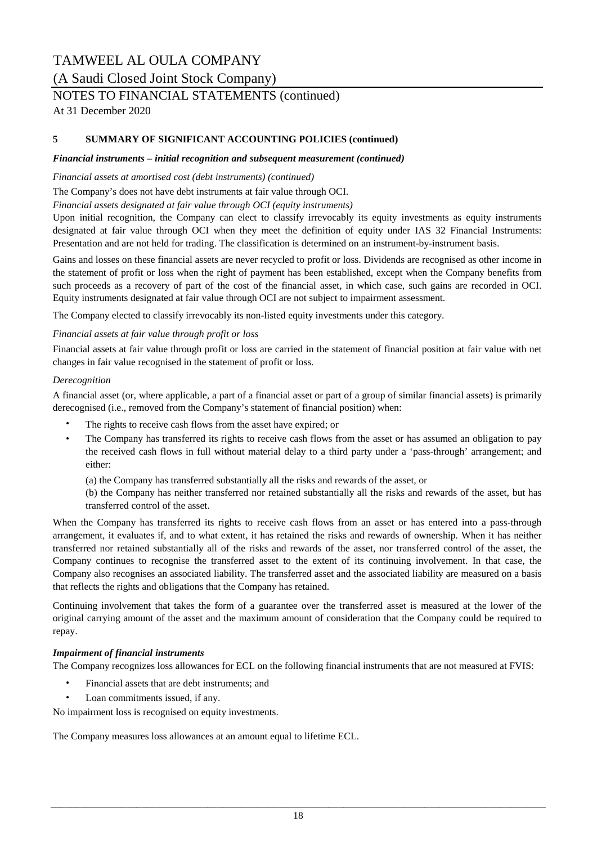### (A Saudi Closed Joint Stock Company)

## NOTES TO FINANCIAL STATEMENTS (continued)

At 31 December 2020

#### **5 SUMMARY OF SIGNIFICANT ACCOUNTING POLICIES (continued)**

#### *Financial instruments – initial recognition and subsequent measurement (continued)*

*Financial assets at amortised cost (debt instruments) (continued)*

The Company's does not have debt instruments at fair value through OCI.

*Financial assets designated at fair value through OCI (equity instruments)*

Upon initial recognition, the Company can elect to classify irrevocably its equity investments as equity instruments designated at fair value through OCI when they meet the definition of equity under IAS 32 Financial Instruments: Presentation and are not held for trading. The classification is determined on an instrument-by-instrument basis.

Gains and losses on these financial assets are never recycled to profit or loss. Dividends are recognised as other income in the statement of profit or loss when the right of payment has been established, except when the Company benefits from such proceeds as a recovery of part of the cost of the financial asset, in which case, such gains are recorded in OCI. Equity instruments designated at fair value through OCI are not subject to impairment assessment.

The Company elected to classify irrevocably its non-listed equity investments under this category.

#### *Financial assets at fair value through profit or loss*

Financial assets at fair value through profit or loss are carried in the statement of financial position at fair value with net changes in fair value recognised in the statement of profit or loss.

#### *Derecognition*

A financial asset (or, where applicable, a part of a financial asset or part of a group of similar financial assets) is primarily derecognised (i.e., removed from the Company's statement of financial position) when:

- The rights to receive cash flows from the asset have expired; or
- The Company has transferred its rights to receive cash flows from the asset or has assumed an obligation to pay the received cash flows in full without material delay to a third party under a 'pass-through' arrangement; and either:

(a) the Company has transferred substantially all the risks and rewards of the asset, or

(b) the Company has neither transferred nor retained substantially all the risks and rewards of the asset, but has transferred control of the asset.

When the Company has transferred its rights to receive cash flows from an asset or has entered into a pass-through arrangement, it evaluates if, and to what extent, it has retained the risks and rewards of ownership. When it has neither transferred nor retained substantially all of the risks and rewards of the asset, nor transferred control of the asset, the Company continues to recognise the transferred asset to the extent of its continuing involvement. In that case, the Company also recognises an associated liability. The transferred asset and the associated liability are measured on a basis that reflects the rights and obligations that the Company has retained.

Continuing involvement that takes the form of a guarantee over the transferred asset is measured at the lower of the original carrying amount of the asset and the maximum amount of consideration that the Company could be required to repay.

#### *Impairment of financial instruments*

The Company recognizes loss allowances for ECL on the following financial instruments that are not measured at FVIS:

- Financial assets that are debt instruments; and
- Loan commitments issued, if any.

No impairment loss is recognised on equity investments.

The Company measures loss allowances at an amount equal to lifetime ECL.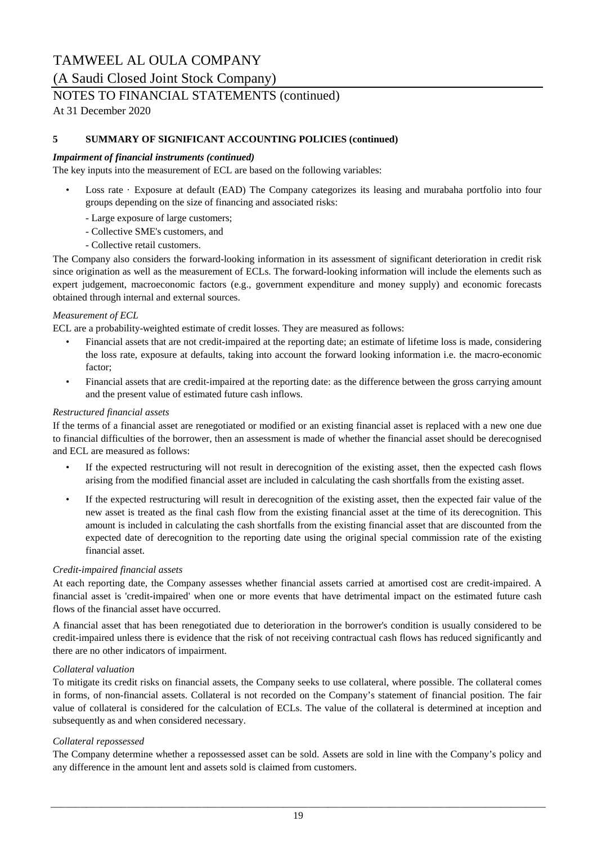(A Saudi Closed Joint Stock Company)

### NOTES TO FINANCIAL STATEMENTS (continued)

At 31 December 2020

#### **5 SUMMARY OF SIGNIFICANT ACCOUNTING POLICIES (continued)**

#### *Impairment of financial instruments (continued)*

The key inputs into the measurement of ECL are based on the following variables:

- Loss rate · Exposure at default (EAD) The Company categorizes its leasing and murabaha portfolio into four groups depending on the size of financing and associated risks:
	- Large exposure of large customers;
	- Collective SME's customers, and
	- Collective retail customers.

The Company also considers the forward-looking information in its assessment of significant deterioration in credit risk since origination as well as the measurement of ECLs. The forward-looking information will include the elements such as expert judgement, macroeconomic factors (e.g., government expenditure and money supply) and economic forecasts obtained through internal and external sources.

#### *Measurement of ECL*

ECL are a probability-weighted estimate of credit losses. They are measured as follows:

- Financial assets that are not credit-impaired at the reporting date; an estimate of lifetime loss is made, considering the loss rate, exposure at defaults, taking into account the forward looking information i.e. the macro-economic factor;
- Financial assets that are credit-impaired at the reporting date: as the difference between the gross carrying amount and the present value of estimated future cash inflows.

#### *Restructured financial assets*

If the terms of a financial asset are renegotiated or modified or an existing financial asset is replaced with a new one due to financial difficulties of the borrower, then an assessment is made of whether the financial asset should be derecognised and ECL are measured as follows:

- If the expected restructuring will not result in derecognition of the existing asset, then the expected cash flows arising from the modified financial asset are included in calculating the cash shortfalls from the existing asset.
- If the expected restructuring will result in derecognition of the existing asset, then the expected fair value of the new asset is treated as the final cash flow from the existing financial asset at the time of its derecognition. This amount is included in calculating the cash shortfalls from the existing financial asset that are discounted from the expected date of derecognition to the reporting date using the original special commission rate of the existing financial asset.

#### *Credit-impaired financial assets*

At each reporting date, the Company assesses whether financial assets carried at amortised cost are credit-impaired. A financial asset is 'credit-impaired' when one or more events that have detrimental impact on the estimated future cash flows of the financial asset have occurred.

A financial asset that has been renegotiated due to deterioration in the borrower's condition is usually considered to be credit-impaired unless there is evidence that the risk of not receiving contractual cash flows has reduced significantly and there are no other indicators of impairment.

#### *Collateral valuation*

To mitigate its credit risks on financial assets, the Company seeks to use collateral, where possible. The collateral comes in forms, of non-financial assets. Collateral is not recorded on the Company's statement of financial position. The fair value of collateral is considered for the calculation of ECLs. The value of the collateral is determined at inception and subsequently as and when considered necessary.

#### *Collateral repossessed*

The Company determine whether a repossessed asset can be sold. Assets are sold in line with the Company's policy and any difference in the amount lent and assets sold is claimed from customers.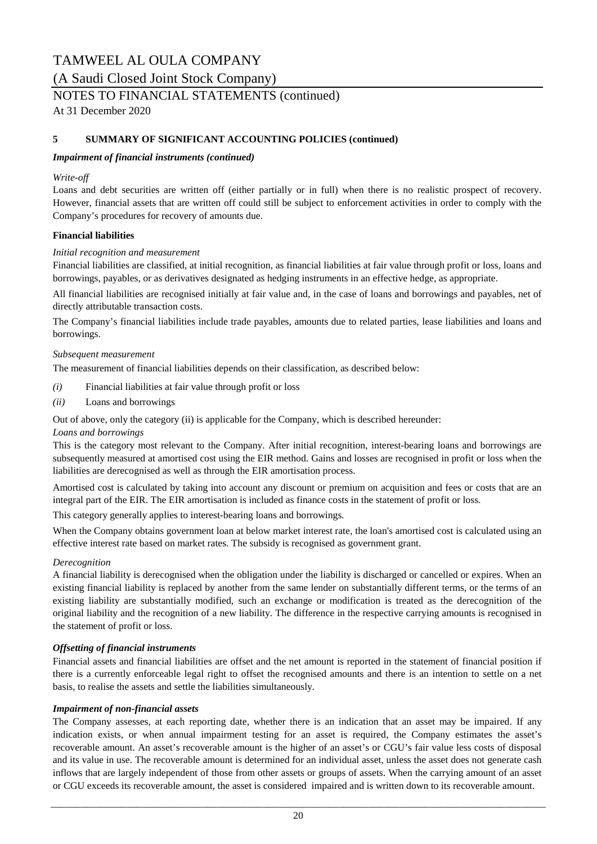(A Saudi Closed Joint Stock Company)

### NOTES TO FINANCIAL STATEMENTS (continued)

At 31 December 2020

#### **5 SUMMARY OF SIGNIFICANT ACCOUNTING POLICIES (continued)**

#### *Impairment of financial instruments (continued)*

#### *Write-off*

Loans and debt securities are written off (either partially or in full) when there is no realistic prospect of recovery. However, financial assets that are written off could still be subject to enforcement activities in order to comply with the Company's procedures for recovery of amounts due.

#### **Financial liabilities**

#### *Initial recognition and measurement*

Financial liabilities are classified, at initial recognition, as financial liabilities at fair value through profit or loss, loans and borrowings, payables, or as derivatives designated as hedging instruments in an effective hedge, as appropriate.

All financial liabilities are recognised initially at fair value and, in the case of loans and borrowings and payables, net of directly attributable transaction costs.

The Company's financial liabilities include trade payables, amounts due to related parties, lease liabilities and loans and borrowings.

#### *Subsequent measurement*

The measurement of financial liabilities depends on their classification, as described below:

- *(i)* Financial liabilities at fair value through profit or loss
- *(ii)* Loans and borrowings

Out of above, only the category (ii) is applicable for the Company, which is described hereunder:

#### *Loans and borrowings*

This is the category most relevant to the Company. After initial recognition, interest-bearing loans and borrowings are subsequently measured at amortised cost using the EIR method. Gains and losses are recognised in profit or loss when the liabilities are derecognised as well as through the EIR amortisation process.

Amortised cost is calculated by taking into account any discount or premium on acquisition and fees or costs that are an integral part of the EIR. The EIR amortisation is included as finance costs in the statement of profit or loss.

This category generally applies to interest-bearing loans and borrowings.

When the Company obtains government loan at below market interest rate, the loan's amortised cost is calculated using an effective interest rate based on market rates. The subsidy is recognised as government grant.

#### *Derecognition*

A financial liability is derecognised when the obligation under the liability is discharged or cancelled or expires. When an existing financial liability is replaced by another from the same lender on substantially different terms, or the terms of an existing liability are substantially modified, such an exchange or modification is treated as the derecognition of the original liability and the recognition of a new liability. The difference in the respective carrying amounts is recognised in the statement of profit or loss.

#### *Offsetting of financial instruments*

Financial assets and financial liabilities are offset and the net amount is reported in the statement of financial position if there is a currently enforceable legal right to offset the recognised amounts and there is an intention to settle on a net basis, to realise the assets and settle the liabilities simultaneously.

#### *Impairment of non-financial assets*

The Company assesses, at each reporting date, whether there is an indication that an asset may be impaired. If any indication exists, or when annual impairment testing for an asset is required, the Company estimates the asset's recoverable amount. An asset's recoverable amount is the higher of an asset's or CGU's fair value less costs of disposal and its value in use. The recoverable amount is determined for an individual asset, unless the asset does not generate cash inflows that are largely independent of those from other assets or groups of assets. When the carrying amount of an asset or CGU exceeds its recoverable amount, the asset is considered impaired and is written down to its recoverable amount.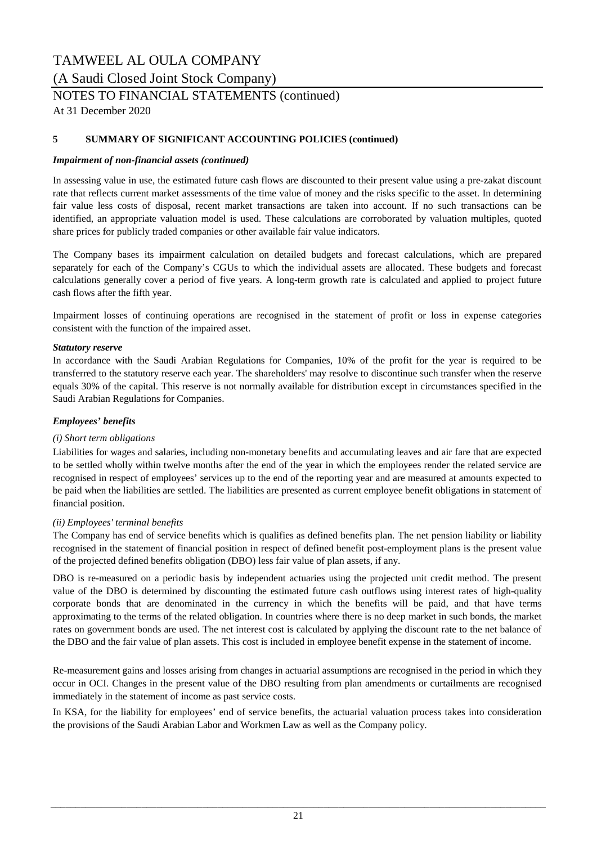(A Saudi Closed Joint Stock Company)

### NOTES TO FINANCIAL STATEMENTS (continued)

At 31 December 2020

#### **5 SUMMARY OF SIGNIFICANT ACCOUNTING POLICIES (continued)**

#### *Impairment of non-financial assets (continued)*

In assessing value in use, the estimated future cash flows are discounted to their present value using a pre-zakat discount rate that reflects current market assessments of the time value of money and the risks specific to the asset. In determining fair value less costs of disposal, recent market transactions are taken into account. If no such transactions can be identified, an appropriate valuation model is used. These calculations are corroborated by valuation multiples, quoted share prices for publicly traded companies or other available fair value indicators.

The Company bases its impairment calculation on detailed budgets and forecast calculations, which are prepared separately for each of the Company's CGUs to which the individual assets are allocated. These budgets and forecast calculations generally cover a period of five years. A long-term growth rate is calculated and applied to project future cash flows after the fifth year.

Impairment losses of continuing operations are recognised in the statement of profit or loss in expense categories consistent with the function of the impaired asset.

#### *Statutory reserve*

In accordance with the Saudi Arabian Regulations for Companies, 10% of the profit for the year is required to be transferred to the statutory reserve each year. The shareholders' may resolve to discontinue such transfer when the reserve equals 30% of the capital. This reserve is not normally available for distribution except in circumstances specified in the Saudi Arabian Regulations for Companies.

#### *Employees' benefits*

#### *(i) Short term obligations*

Liabilities for wages and salaries, including non-monetary benefits and accumulating leaves and air fare that are expected to be settled wholly within twelve months after the end of the year in which the employees render the related service are recognised in respect of employees' services up to the end of the reporting year and are measured at amounts expected to be paid when the liabilities are settled. The liabilities are presented as current employee benefit obligations in statement of financial position.

#### *(ii) Employees' terminal benefits*

The Company has end of service benefits which is qualifies as defined benefits plan. The net pension liability or liability recognised in the statement of financial position in respect of defined benefit post-employment plans is the present value of the projected defined benefits obligation (DBO) less fair value of plan assets, if any.

DBO is re-measured on a periodic basis by independent actuaries using the projected unit credit method. The present value of the DBO is determined by discounting the estimated future cash outflows using interest rates of high-quality corporate bonds that are denominated in the currency in which the benefits will be paid, and that have terms approximating to the terms of the related obligation. In countries where there is no deep market in such bonds, the market rates on government bonds are used. The net interest cost is calculated by applying the discount rate to the net balance of the DBO and the fair value of plan assets. This cost is included in employee benefit expense in the statement of income.

Re-measurement gains and losses arising from changes in actuarial assumptions are recognised in the period in which they occur in OCI. Changes in the present value of the DBO resulting from plan amendments or curtailments are recognised immediately in the statement of income as past service costs.

In KSA, for the liability for employees' end of service benefits, the actuarial valuation process takes into consideration the provisions of the Saudi Arabian Labor and Workmen Law as well as the Company policy.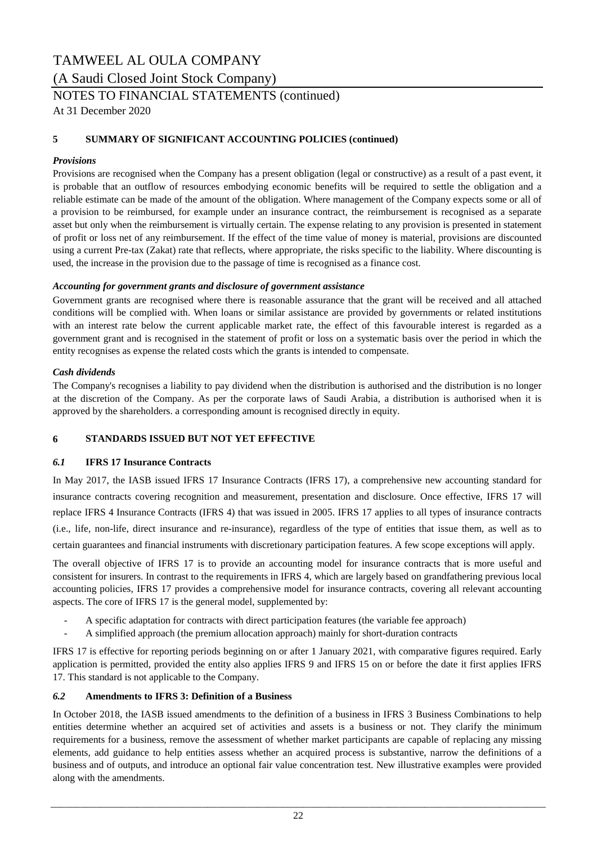(A Saudi Closed Joint Stock Company)

### NOTES TO FINANCIAL STATEMENTS (continued)

At 31 December 2020

#### **5 SUMMARY OF SIGNIFICANT ACCOUNTING POLICIES (continued)**

#### *Provisions*

Provisions are recognised when the Company has a present obligation (legal or constructive) as a result of a past event, it is probable that an outflow of resources embodying economic benefits will be required to settle the obligation and a reliable estimate can be made of the amount of the obligation. Where management of the Company expects some or all of a provision to be reimbursed, for example under an insurance contract, the reimbursement is recognised as a separate asset but only when the reimbursement is virtually certain. The expense relating to any provision is presented in statement of profit or loss net of any reimbursement. If the effect of the time value of money is material, provisions are discounted using a current Pre-tax (Zakat) rate that reflects, where appropriate, the risks specific to the liability. Where discounting is used, the increase in the provision due to the passage of time is recognised as a finance cost.

#### *Accounting for government grants and disclosure of government assistance*

Government grants are recognised where there is reasonable assurance that the grant will be received and all attached conditions will be complied with. When loans or similar assistance are provided by governments or related institutions with an interest rate below the current applicable market rate, the effect of this favourable interest is regarded as a government grant and is recognised in the statement of profit or loss on a systematic basis over the period in which the entity recognises as expense the related costs which the grants is intended to compensate.

#### *Cash dividends*

The Company's recognises a liability to pay dividend when the distribution is authorised and the distribution is no longer at the discretion of the Company. As per the corporate laws of Saudi Arabia, a distribution is authorised when it is approved by the shareholders. a corresponding amount is recognised directly in equity.

#### **6 STANDARDS ISSUED BUT NOT YET EFFECTIVE**

#### *6.1* **IFRS 17 Insurance Contracts**

In May 2017, the IASB issued IFRS 17 Insurance Contracts (IFRS 17), a comprehensive new accounting standard for insurance contracts covering recognition and measurement, presentation and disclosure. Once effective, IFRS 17 will replace IFRS 4 Insurance Contracts (IFRS 4) that was issued in 2005. IFRS 17 applies to all types of insurance contracts (i.e., life, non-life, direct insurance and re-insurance), regardless of the type of entities that issue them, as well as to certain guarantees and financial instruments with discretionary participation features. A few scope exceptions will apply.

The overall objective of IFRS 17 is to provide an accounting model for insurance contracts that is more useful and consistent for insurers. In contrast to the requirements in IFRS 4, which are largely based on grandfathering previous local accounting policies, IFRS 17 provides a comprehensive model for insurance contracts, covering all relevant accounting aspects. The core of IFRS 17 is the general model, supplemented by:

- *-* A specific adaptation for contracts with direct participation features (the variable fee approach)
- *-* A simplified approach (the premium allocation approach) mainly for short-duration contracts

IFRS 17 is effective for reporting periods beginning on or after 1 January 2021, with comparative figures required. Early application is permitted, provided the entity also applies IFRS 9 and IFRS 15 on or before the date it first applies IFRS 17. This standard is not applicable to the Company.

#### *6.2* **Amendments to IFRS 3: Definition of a Business**

In October 2018, the IASB issued amendments to the definition of a business in IFRS 3 Business Combinations to help entities determine whether an acquired set of activities and assets is a business or not. They clarify the minimum requirements for a business, remove the assessment of whether market participants are capable of replacing any missing elements, add guidance to help entities assess whether an acquired process is substantive, narrow the definitions of a business and of outputs, and introduce an optional fair value concentration test. New illustrative examples were provided along with the amendments.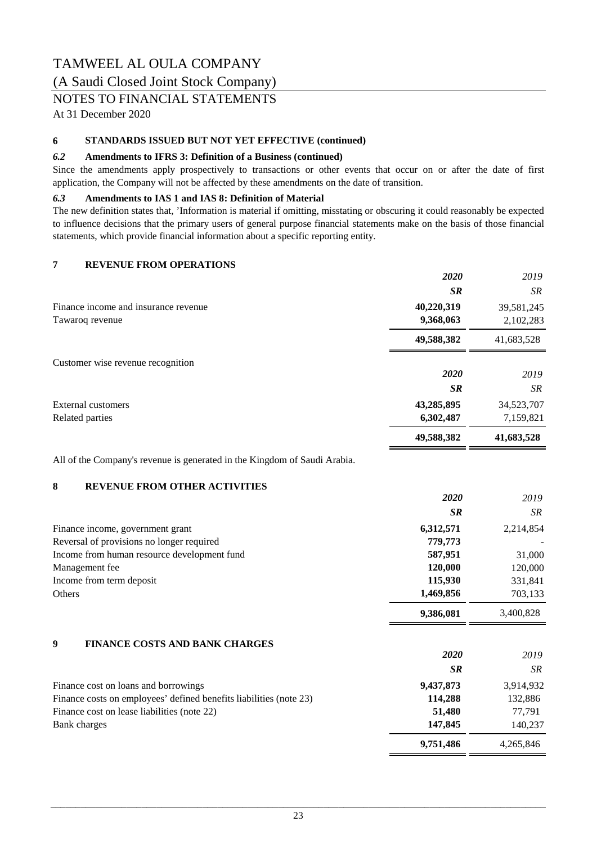### (A Saudi Closed Joint Stock Company)

### NOTES TO FINANCIAL STATEMENTS

At 31 December 2020

#### **6 STANDARDS ISSUED BUT NOT YET EFFECTIVE (continued)**

#### *6.2* **Amendments to IFRS 3: Definition of a Business (continued)**

Since the amendments apply prospectively to transactions or other events that occur on or after the date of first application, the Company will not be affected by these amendments on the date of transition.

#### *6.3* **Amendments to IAS 1 and IAS 8: Definition of Material**

The new definition states that, 'Information is material if omitting, misstating or obscuring it could reasonably be expected to influence decisions that the primary users of general purpose financial statements make on the basis of those financial statements, which provide financial information about a specific reporting entity.

#### **7 REVENUE FROM OPERATIONS**

|                                      | 2020       | 2019       |
|--------------------------------------|------------|------------|
|                                      | <b>SR</b>  | SR         |
| Finance income and insurance revenue | 40,220,319 | 39,581,245 |
| Tawaroq revenue                      | 9,368,063  | 2,102,283  |
|                                      | 49,588,382 | 41,683,528 |
| Customer wise revenue recognition    |            |            |
|                                      | 2020       | 2019       |
|                                      | <b>SR</b>  | SR         |
| <b>External customers</b>            | 43,285,895 | 34,523,707 |
| Related parties                      | 6,302,487  | 7,159,821  |
|                                      | 49,588,382 | 41,683,528 |

All of the Company's revenue is generated in the Kingdom of Saudi Arabia.

#### **8 REVENUE FROM OTHER ACTIVITIES**

|                                                                    | 2020      | 2019      |
|--------------------------------------------------------------------|-----------|-----------|
|                                                                    | <b>SR</b> | SR        |
| Finance income, government grant                                   | 6,312,571 | 2,214,854 |
| Reversal of provisions no longer required                          | 779,773   |           |
| Income from human resource development fund                        | 587,951   | 31,000    |
| Management fee                                                     | 120,000   | 120,000   |
| Income from term deposit                                           | 115,930   | 331,841   |
| Others                                                             | 1,469,856 | 703,133   |
|                                                                    | 9,386,081 | 3,400,828 |
| <b>FINANCE COSTS AND BANK CHARGES</b><br>9                         |           |           |
|                                                                    | 2020      | 2019      |
|                                                                    | <b>SR</b> | SR        |
| Finance cost on loans and borrowings                               | 9,437,873 | 3,914,932 |
| Finance costs on employees' defined benefits liabilities (note 23) | 114,288   | 132,886   |
| Finance cost on lease liabilities (note 22)                        | 51,480    | 77,791    |
| Bank charges                                                       | 147,845   | 140,237   |
|                                                                    | 9,751,486 | 4,265,846 |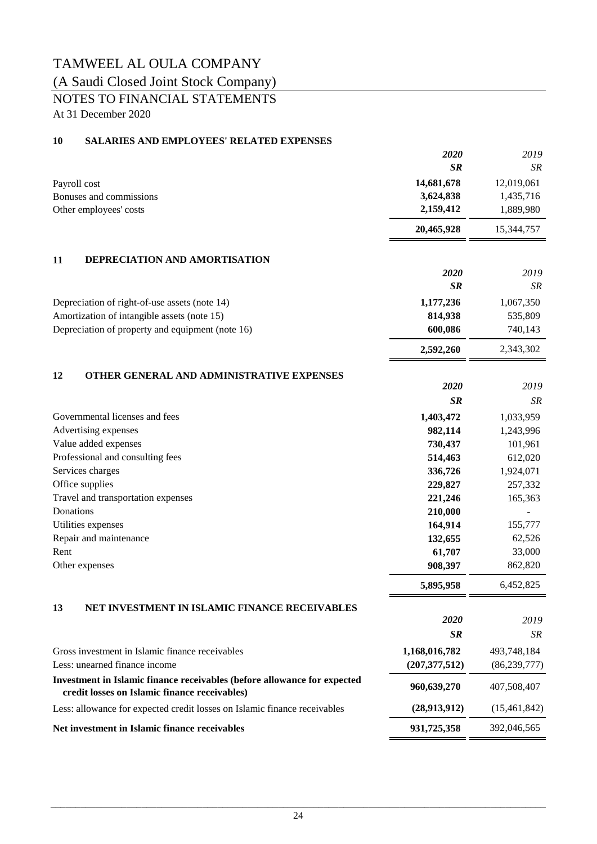### (A Saudi Closed Joint Stock Company)

# NOTES TO FINANCIAL STATEMENTS

At 31 December 2020

#### **10 SALARIES AND EMPLOYEES' RELATED EXPENSES**

|           |                                                                                                                           | 2020            | 2019           |
|-----------|---------------------------------------------------------------------------------------------------------------------------|-----------------|----------------|
|           |                                                                                                                           | <b>SR</b>       | SR             |
|           | Payroll cost                                                                                                              | 14,681,678      | 12,019,061     |
|           | Bonuses and commissions                                                                                                   | 3,624,838       | 1,435,716      |
|           | Other employees' costs                                                                                                    | 2,159,412       | 1,889,980      |
|           |                                                                                                                           | 20,465,928      | 15,344,757     |
| 11        | DEPRECIATION AND AMORTISATION                                                                                             |                 |                |
|           |                                                                                                                           | 2020            | 2019           |
|           |                                                                                                                           | <b>SR</b>       | SR             |
|           | Depreciation of right-of-use assets (note 14)                                                                             | 1,177,236       | 1,067,350      |
|           | Amortization of intangible assets (note 15)                                                                               | 814,938         | 535,809        |
|           | Depreciation of property and equipment (note 16)                                                                          | 600,086         | 740,143        |
|           |                                                                                                                           | 2,592,260       | 2,343,302      |
| 12        | OTHER GENERAL AND ADMINISTRATIVE EXPENSES                                                                                 |                 |                |
|           |                                                                                                                           | 2020            | 2019           |
|           |                                                                                                                           | <b>SR</b>       | SR             |
|           | Governmental licenses and fees                                                                                            | 1,403,472       | 1,033,959      |
|           | Advertising expenses                                                                                                      | 982,114         | 1,243,996      |
|           | Value added expenses                                                                                                      | 730,437         | 101,961        |
|           | Professional and consulting fees                                                                                          | 514,463         | 612,020        |
|           | Services charges                                                                                                          | 336,726         | 1,924,071      |
|           | Office supplies                                                                                                           | 229,827         | 257,332        |
|           | Travel and transportation expenses                                                                                        | 221,246         | 165,363        |
| Donations |                                                                                                                           | 210,000         |                |
|           | Utilities expenses                                                                                                        | 164,914         | 155,777        |
|           | Repair and maintenance                                                                                                    | 132,655         | 62,526         |
| Rent      |                                                                                                                           | 61,707          | 33,000         |
|           | Other expenses                                                                                                            | 908,397         | 862,820        |
|           |                                                                                                                           | 5,895,958       | 6,452,825      |
| 13        | NET INVESTMENT IN ISLAMIC FINANCE RECEIVABLES                                                                             |                 |                |
|           |                                                                                                                           | 2020            | 2019           |
|           |                                                                                                                           | SR              | SR             |
|           | Gross investment in Islamic finance receivables                                                                           | 1,168,016,782   | 493,748,184    |
|           | Less: unearned finance income                                                                                             | (207, 377, 512) | (86, 239, 777) |
|           | Investment in Islamic finance receivables (before allowance for expected<br>credit losses on Islamic finance receivables) | 960,639,270     | 407,508,407    |
|           | Less: allowance for expected credit losses on Islamic finance receivables                                                 | (28,913,912)    | (15, 461, 842) |
|           | Net investment in Islamic finance receivables                                                                             | 931,725,358     | 392,046,565    |
|           |                                                                                                                           |                 |                |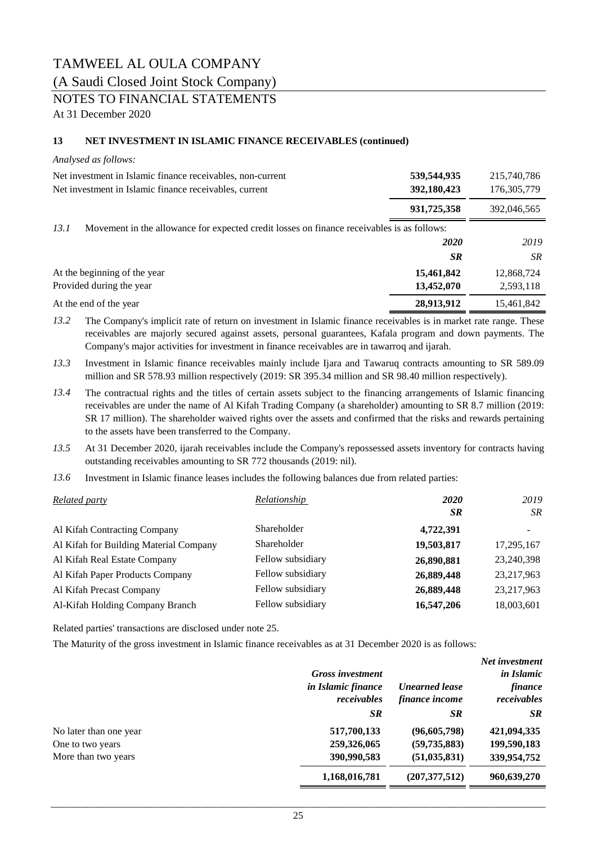### (A Saudi Closed Joint Stock Company)

### NOTES TO FINANCIAL STATEMENTS

At 31 December 2020

#### **13 NET INVESTMENT IN ISLAMIC FINANCE RECEIVABLES (continued)**

#### *Analysed as follows:*

| Net investment in Islamic finance receivables, non-current<br>Net investment in Islamic finance receivables, current | 539,544,935<br>392,180,423 | 215,740,786<br>176, 305, 779 |
|----------------------------------------------------------------------------------------------------------------------|----------------------------|------------------------------|
|                                                                                                                      | 931,725,358                | 392,046,565                  |
| 13.1<br>Movement in the allowance for expected credit losses on finance receivables is as follows:                   |                            |                              |
|                                                                                                                      | <b>2020</b>                | 2019                         |
|                                                                                                                      | <b>SR</b>                  | <b>SR</b>                    |
| At the beginning of the year                                                                                         | 15,461,842                 | 12,868,724                   |
| Provided during the year                                                                                             | 13,452,070                 | 2,593,118                    |
| At the end of the year                                                                                               | 28,913,912                 | 15,461,842                   |
|                                                                                                                      |                            |                              |

*13.2* The Company's implicit rate of return on investment in Islamic finance receivables is in market rate range. These receivables are majorly secured against assets, personal guarantees, Kafala program and down payments. The Company's major activities for investment in finance receivables are in tawarroq and ijarah.

*13.3* Investment in Islamic finance receivables mainly include Ijara and Tawaruq contracts amounting to SR 589.09 million and SR 578.93 million respectively (2019: SR 395.34 million and SR 98.40 million respectively).

- *13.4* The contractual rights and the titles of certain assets subject to the financing arrangements of Islamic financing receivables are under the name of Al Kifah Trading Company (a shareholder) amounting to SR 8.7 million (2019: SR 17 million). The shareholder waived rights over the assets and confirmed that the risks and rewards pertaining to the assets have been transferred to the Company.
- *13.5* At 31 December 2020, ijarah receivables include the Company's repossessed assets inventory for contracts having outstanding receivables amounting to SR 772 thousands (2019: nil).
- *13.6* Investment in Islamic finance leases includes the following balances due from related parties:

| <b>Related party</b>                   | Relationship      | <b>2020</b> | 2019                     |
|----------------------------------------|-------------------|-------------|--------------------------|
|                                        |                   | <b>SR</b>   | SR                       |
| Al Kifah Contracting Company           | Shareholder       | 4,722,391   | $\overline{\phantom{0}}$ |
| Al Kifah for Building Material Company | Shareholder       | 19,503,817  | 17,295,167               |
| Al Kifah Real Estate Company           | Fellow subsidiary | 26,890,881  | 23,240,398               |
| Al Kifah Paper Products Company        | Fellow subsidiary | 26,889,448  | 23, 217, 963             |
| Al Kifah Precast Company               | Fellow subsidiary | 26,889,448  | 23, 217, 963             |
| Al-Kifah Holding Company Branch        | Fellow subsidiary | 16,547,206  | 18,003,601               |

Related parties' transactions are disclosed under note 25.

The Maturity of the gross investment in Islamic finance receivables as at 31 December 2020 is as follows:

|                        |                         |                       | Net investment    |
|------------------------|-------------------------|-----------------------|-------------------|
|                        | <b>Gross investment</b> |                       | <i>in Islamic</i> |
|                        | in Islamic finance      | <b>Unearned lease</b> | finance           |
|                        | receivables             | finance income        | receivables       |
|                        | <b>SR</b>               | <b>SR</b>             | <b>SR</b>         |
| No later than one year | 517,700,133             | (96,605,798)          | 421,094,335       |
| One to two years       | 259,326,065             | (59, 735, 883)        | 199,590,183       |
| More than two years    | 390,990,583             | (51, 035, 831)        | 339,954,752       |
|                        | 1,168,016,781           | (207, 377, 512)       | 960,639,270       |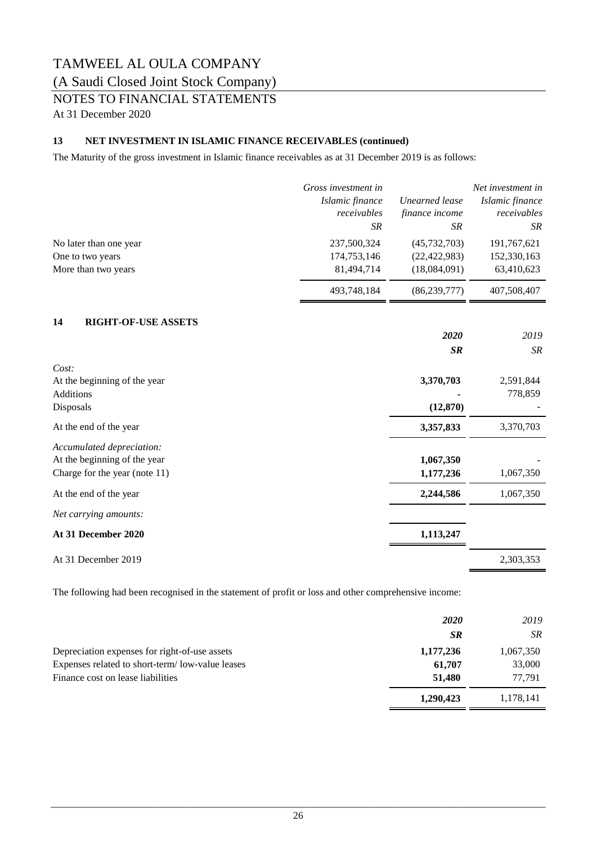### (A Saudi Closed Joint Stock Company)

### NOTES TO FINANCIAL STATEMENTS

At 31 December 2020

#### **13 NET INVESTMENT IN ISLAMIC FINANCE RECEIVABLES (continued)**

The Maturity of the gross investment in Islamic finance receivables as at 31 December 2019 is as follows:

|                                            | Gross investment in<br>Islamic finance<br>receivables | <b>Unearned</b> lease<br>finance income | Net investment in<br>Islamic finance<br>receivables |
|--------------------------------------------|-------------------------------------------------------|-----------------------------------------|-----------------------------------------------------|
|                                            | SR                                                    | <b>SR</b>                               | <b>SR</b>                                           |
| No later than one year<br>One to two years | 237,500,324<br>174,753,146                            | (45, 732, 703)<br>(22, 422, 983)        | 191,767,621<br>152,330,163                          |
| More than two years                        | 81,494,714                                            | (18,084,091)                            | 63,410,623                                          |
|                                            | 493,748,184                                           | (86, 239, 777)                          | 407,508,407                                         |
| 14<br><b>RIGHT-OF-USE ASSETS</b>           |                                                       |                                         |                                                     |
|                                            |                                                       | 2020                                    | 2019                                                |
|                                            |                                                       | <b>SR</b>                               | <b>SR</b>                                           |
| Cost:                                      |                                                       |                                         |                                                     |
| At the beginning of the year               |                                                       | 3,370,703                               | 2,591,844                                           |
| <b>Additions</b><br>Disposals              |                                                       | (12, 870)                               | 778,859                                             |
| At the end of the year                     |                                                       | 3,357,833                               | 3,370,703                                           |
| Accumulated depreciation:                  |                                                       |                                         |                                                     |
| At the beginning of the year               |                                                       | 1,067,350                               |                                                     |
| Charge for the year (note 11)              |                                                       | 1,177,236                               | 1,067,350                                           |
| At the end of the year                     |                                                       | 2,244,586                               | 1,067,350                                           |
| Net carrying amounts:                      |                                                       |                                         |                                                     |
| At 31 December 2020                        |                                                       | 1,113,247                               |                                                     |
| At 31 December 2019                        |                                                       |                                         | 2,303,353                                           |

The following had been recognised in the statement of profit or loss and other comprehensive income:

|                                                 | <b>2020</b> | 2019      |
|-------------------------------------------------|-------------|-----------|
|                                                 | <b>SR</b>   | SR.       |
| Depreciation expenses for right-of-use assets   | 1,177,236   | 1,067,350 |
| Expenses related to short-term/low-value leases | 61,707      | 33,000    |
| Finance cost on lease liabilities               | 51,480      | 77.791    |
|                                                 | 1,290,423   | 1,178,141 |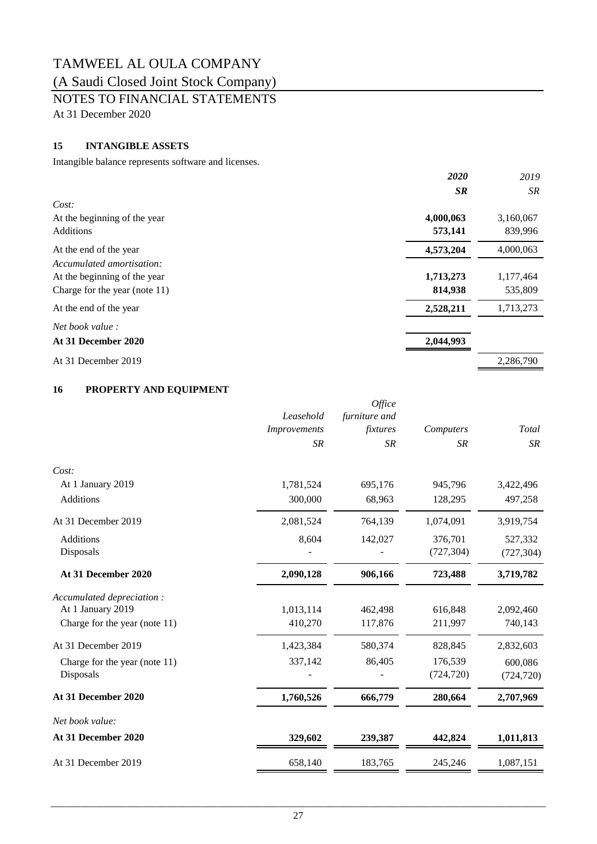# (A Saudi Closed Joint Stock Company)

NOTES TO FINANCIAL STATEMENTS

At 31 December 2020

### **15 INTANGIBLE ASSETS**

Intangible balance represents software and licenses.

|                               | 2020      | 2019      |
|-------------------------------|-----------|-----------|
|                               | <b>SR</b> | SR.       |
| Cost:                         |           |           |
| At the beginning of the year  | 4,000,063 | 3,160,067 |
| Additions                     | 573,141   | 839,996   |
| At the end of the year        | 4,573,204 | 4,000,063 |
| Accumulated amortisation:     |           |           |
| At the beginning of the year  | 1,713,273 | 1,177,464 |
| Charge for the year (note 11) | 814,938   | 535,809   |
| At the end of the year        | 2,528,211 | 1,713,273 |
| <i>Net book value :</i>       |           |           |
| At 31 December 2020           | 2,044,993 |           |
| At 31 December 2019           |           | 2,286,790 |

#### **16 PROPERTY AND EQUIPMENT**

|                                                                                 | Leasehold<br>Improvements<br><b>SR</b> | Office<br>furniture and<br>fixtures<br><b>SR</b> | Computers<br><b>SR</b> | Total<br><b>SR</b>    |
|---------------------------------------------------------------------------------|----------------------------------------|--------------------------------------------------|------------------------|-----------------------|
| Cost:                                                                           |                                        |                                                  |                        |                       |
| At 1 January 2019                                                               | 1,781,524                              | 695,176                                          | 945,796                | 3,422,496             |
| Additions                                                                       | 300,000                                | 68,963                                           | 128,295                | 497,258               |
| At 31 December 2019                                                             | 2,081,524                              | 764,139                                          | 1,074,091              | 3,919,754             |
| Additions                                                                       | 8,604                                  | 142,027                                          | 376,701                | 527,332               |
| Disposals                                                                       |                                        |                                                  | (727, 304)             | (727, 304)            |
| At 31 December 2020                                                             | 2,090,128                              | 906,166                                          | 723,488                | 3,719,782             |
| Accumulated depreciation:<br>At 1 January 2019<br>Charge for the year (note 11) | 1,013,114<br>410,270                   | 462,498<br>117,876                               | 616,848<br>211,997     | 2,092,460<br>740,143  |
| At 31 December 2019                                                             | 1,423,384                              | 580,374                                          | 828,845                | 2,832,603             |
| Charge for the year (note 11)<br>Disposals                                      | 337,142                                | 86,405                                           | 176,539<br>(724, 720)  | 600,086<br>(724, 720) |
| At 31 December 2020                                                             | 1,760,526                              | 666,779                                          | 280,664                | 2,707,969             |
| Net book value:                                                                 |                                        |                                                  |                        |                       |
| At 31 December 2020                                                             | 329,602                                | 239,387                                          | 442,824                | 1,011,813             |
| At 31 December 2019                                                             | 658,140                                | 183,765                                          | 245,246                | 1,087,151             |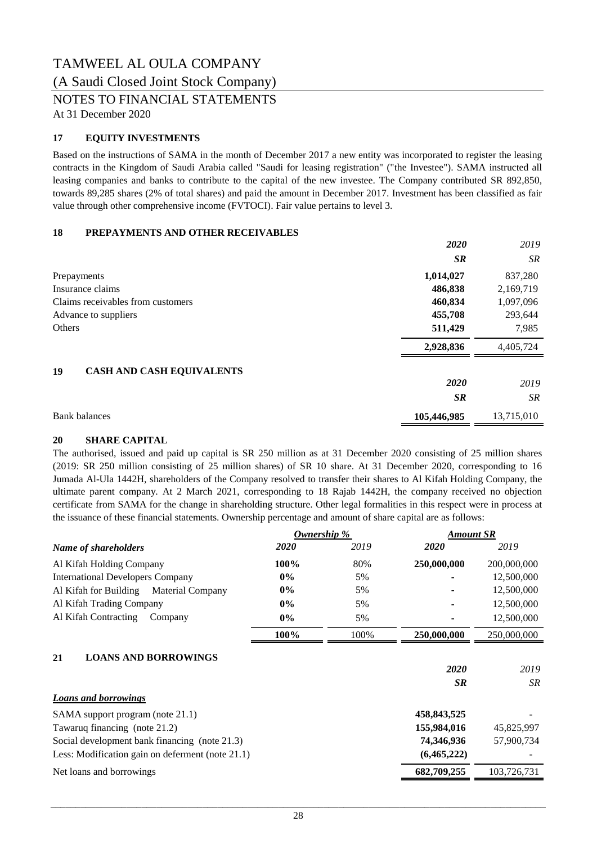### TAMWEEL AL OULA COMPANY (A Saudi Closed Joint Stock Company)

NOTES TO FINANCIAL STATEMENTS

At 31 December 2020

#### **17 EQUITY INVESTMENTS**

Based on the instructions of SAMA in the month of December 2017 a new entity was incorporated to register the leasing contracts in the Kingdom of Saudi Arabia called "Saudi for leasing registration" ("the Investee"). SAMA instructed all leasing companies and banks to contribute to the capital of the new investee. The Company contributed SR 892,850, towards 89,285 shares (2% of total shares) and paid the amount in December 2017. Investment has been classified as fair value through other comprehensive income (FVTOCI). Fair value pertains to level 3.

#### **18 PREPAYMENTS AND OTHER RECEIVABLES**

|                                        | 2020        | 2019       |
|----------------------------------------|-------------|------------|
|                                        | <b>SR</b>   | SR         |
| Prepayments                            | 1,014,027   | 837,280    |
| Insurance claims                       | 486,838     | 2,169,719  |
| Claims receivables from customers      | 460,834     | 1,097,096  |
| Advance to suppliers                   | 455,708     | 293,644    |
| Others                                 | 511,429     | 7,985      |
|                                        | 2,928,836   | 4,405,724  |
| <b>CASH AND CASH EQUIVALENTS</b><br>19 |             |            |
|                                        | 2020        | 2019       |
|                                        | <b>SR</b>   | SR.        |
| <b>Bank balances</b>                   | 105,446,985 | 13,715,010 |

#### **20 SHARE CAPITAL**

The authorised, issued and paid up capital is SR 250 million as at 31 December 2020 consisting of 25 million shares (2019: SR 250 million consisting of 25 million shares) of SR 10 share. At 31 December 2020, corresponding to 16 Jumada Al-Ula 1442H, shareholders of the Company resolved to transfer their shares to Al Kifah Holding Company, the ultimate parent company. At 2 March 2021, corresponding to 18 Rajab 1442H, the company received no objection certificate from SAMA for the change in shareholding structure. Other legal formalities in this respect were in process at the issuance of these financial statements. Ownership percentage and amount of share capital are as follows:

|                                                  | Ownership % |      | <b>Amount SR</b> |             |
|--------------------------------------------------|-------------|------|------------------|-------------|
| Name of shareholders                             | 2020        | 2019 | 2020             | 2019        |
| Al Kifah Holding Company                         | 100%        | 80%  | 250,000,000      | 200,000,000 |
| <b>International Developers Company</b>          | $0\%$       | 5%   |                  | 12,500,000  |
| Al Kifah for Building<br><b>Material Company</b> | $0\%$       | 5%   |                  | 12,500,000  |
| Al Kifah Trading Company                         | $0\%$       | 5%   |                  | 12,500,000  |
| Al Kifah Contracting<br>Company                  | $0\%$       | 5%   |                  | 12,500,000  |
|                                                  | 100%        | 100% | 250,000,000      | 250,000,000 |
| <b>LOANS AND BORROWINGS</b><br>21                |             |      |                  |             |
|                                                  |             |      | 2020             | 2019        |
|                                                  |             |      | <b>SR</b>        | <b>SR</b>   |
| <b>Loans and borrowings</b>                      |             |      |                  |             |
| SAMA support program (note 21.1)                 |             |      | 458,843,525      |             |
| Tawaruq financing (note 21.2)                    |             |      | 155,984,016      | 45,825,997  |
| Social development bank financing (note 21.3)    |             |      | 74,346,936       | 57,900,734  |
| Less: Modification gain on deferment (note 21.1) |             |      | (6,465,222)      |             |
| Net loans and borrowings                         |             |      | 682,709,255      | 103,726,731 |
|                                                  |             |      |                  |             |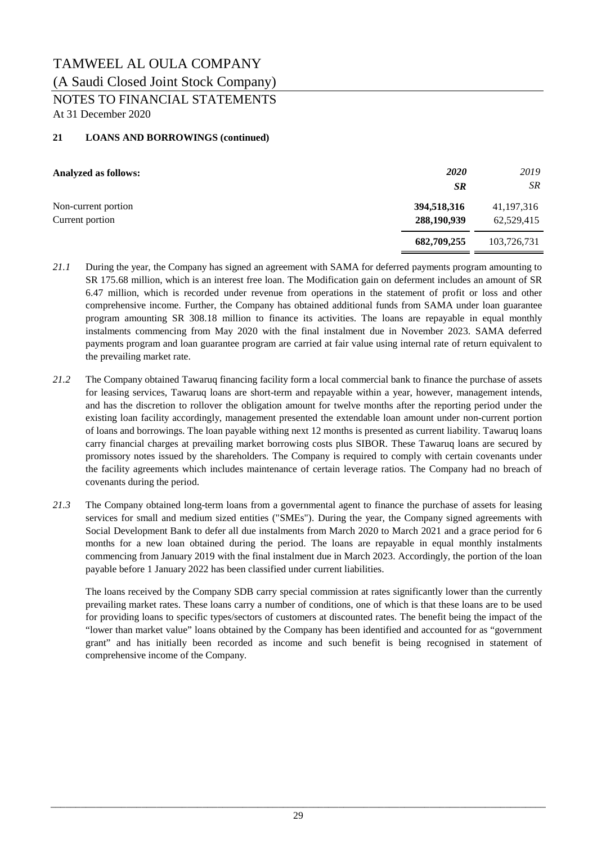### TAMWEEL AL OULA COMPANY (A Saudi Closed Joint Stock Company) NOTES TO FINANCIAL STATEMENTS

At 31 December 2020

#### **21 LOANS AND BORROWINGS (continued)**

| <b>Analyzed as follows:</b>            | <i>2020</i><br><b>SR</b>   | 2019<br>SR                 |
|----------------------------------------|----------------------------|----------------------------|
| Non-current portion<br>Current portion | 394,518,316<br>288,190,939 | 41, 197, 316<br>62,529,415 |
|                                        | 682,709,255                | 103,726,731                |

- *21.1* During the year, the Company has signed an agreement with SAMA for deferred payments program amounting to SR 175.68 million, which is an interest free loan. The Modification gain on deferment includes an amount of SR 6.47 million, which is recorded under revenue from operations in the statement of profit or loss and other comprehensive income. Further, the Company has obtained additional funds from SAMA under loan guarantee program amounting SR 308.18 million to finance its activities. The loans are repayable in equal monthly instalments commencing from May 2020 with the final instalment due in November 2023. SAMA deferred payments program and loan guarantee program are carried at fair value using internal rate of return equivalent to the prevailing market rate.
- *21.2* The Company obtained Tawaruq financing facility form a local commercial bank to finance the purchase of assets for leasing services, Tawaruq loans are short-term and repayable within a year, however, management intends, and has the discretion to rollover the obligation amount for twelve months after the reporting period under the existing loan facility accordingly, management presented the extendable loan amount under non-current portion of loans and borrowings. The loan payable withing next 12 months is presented as current liability. Tawaruq loans carry financial charges at prevailing market borrowing costs plus SIBOR. These Tawaruq loans are secured by promissory notes issued by the shareholders. The Company is required to comply with certain covenants under the facility agreements which includes maintenance of certain leverage ratios. The Company had no breach of covenants during the period.
- *21.3* The Company obtained long-term loans from a governmental agent to finance the purchase of assets for leasing services for small and medium sized entities ("SMEs"). During the year, the Company signed agreements with Social Development Bank to defer all due instalments from March 2020 to March 2021 and a grace period for 6 months for a new loan obtained during the period. The loans are repayable in equal monthly instalments commencing from January 2019 with the final instalment due in March 2023. Accordingly, the portion of the loan payable before 1 January 2022 has been classified under current liabilities.

The loans received by the Company SDB carry special commission at rates significantly lower than the currently prevailing market rates. These loans carry a number of conditions, one of which is that these loans are to be used for providing loans to specific types/sectors of customers at discounted rates. The benefit being the impact of the "lower than market value" loans obtained by the Company has been identified and accounted for as "government grant" and has initially been recorded as income and such benefit is being recognised in statement of comprehensive income of the Company.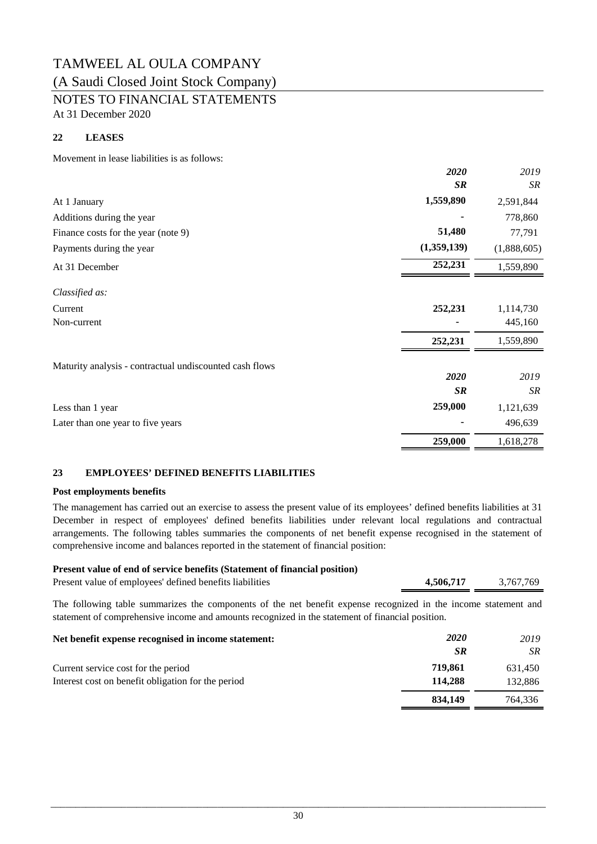## TAMWEEL AL OULA COMPANY (A Saudi Closed Joint Stock Company)

NOTES TO FINANCIAL STATEMENTS

At 31 December 2020

#### **22 LEASES**

Movement in lease liabilities is as follows:

|                                                         | 2020        | 2019        |
|---------------------------------------------------------|-------------|-------------|
|                                                         | <b>SR</b>   | SR          |
| At 1 January                                            | 1,559,890   | 2,591,844   |
| Additions during the year                               |             | 778,860     |
| Finance costs for the year (note 9)                     | 51,480      | 77,791      |
| Payments during the year                                | (1,359,139) | (1,888,605) |
| At 31 December                                          | 252,231     | 1,559,890   |
| Classified as:                                          |             |             |
| Current                                                 | 252,231     | 1,114,730   |
| Non-current                                             |             | 445,160     |
|                                                         | 252,231     | 1,559,890   |
| Maturity analysis - contractual undiscounted cash flows |             |             |
|                                                         | 2020        | 2019        |
|                                                         | <b>SR</b>   | SR          |
| Less than 1 year                                        | 259,000     | 1,121,639   |
| Later than one year to five years                       |             | 496,639     |
|                                                         | 259,000     | 1,618,278   |

#### **23 EMPLOYEES' DEFINED BENEFITS LIABILITIES**

#### **Post employments benefits**

The management has carried out an exercise to assess the present value of its employees' defined benefits liabilities at 31 December in respect of employees' defined benefits liabilities under relevant local regulations and contractual arrangements. The following tables summaries the components of net benefit expense recognised in the statement of comprehensive income and balances reported in the statement of financial position:

#### **Present value of end of service benefits (Statement of financial position)**

| Present value of employees' defined benefits liabilities | 4,506,717 | 3,767,769 |
|----------------------------------------------------------|-----------|-----------|
|                                                          |           |           |

The following table summarizes the components of the net benefit expense recognized in the income statement and statement of comprehensive income and amounts recognized in the statement of financial position.

| Net benefit expense recognised in income statement: | <i>2020</i> | 2019    |
|-----------------------------------------------------|-------------|---------|
|                                                     | <b>SR</b>   | SR      |
| Current service cost for the period                 | 719.861     | 631.450 |
| Interest cost on benefit obligation for the period  | 114.288     | 132,886 |
|                                                     | 834.149     | 764,336 |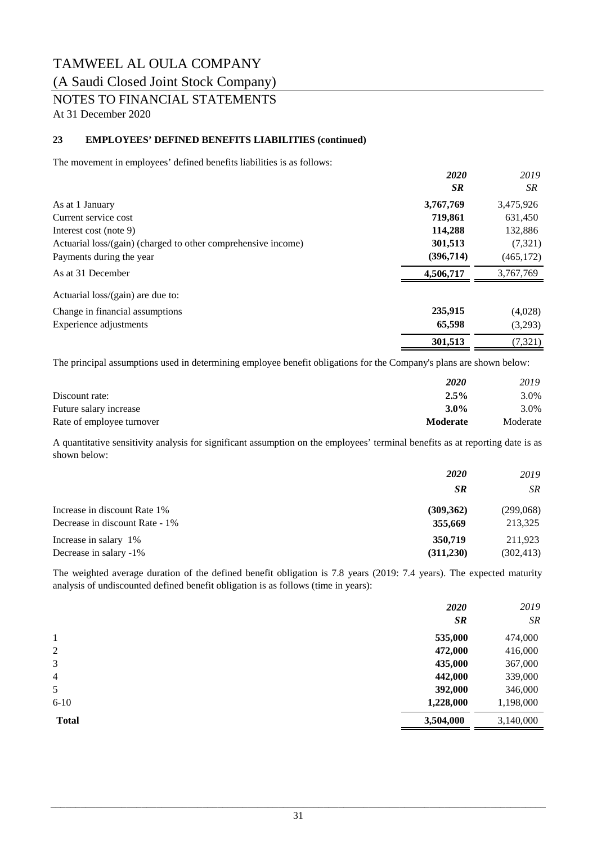### (A Saudi Closed Joint Stock Company)

NOTES TO FINANCIAL STATEMENTS

At 31 December 2020

#### **23 EMPLOYEES' DEFINED BENEFITS LIABILITIES (continued)**

The movement in employees' defined benefits liabilities is as follows:

|                                                               | 2020      | 2019       |
|---------------------------------------------------------------|-----------|------------|
|                                                               | <b>SR</b> | SR         |
| As at 1 January                                               | 3,767,769 | 3,475,926  |
| Current service cost                                          | 719,861   | 631,450    |
| Interest cost (note 9)                                        | 114,288   | 132,886    |
| Actuarial loss/(gain) (charged to other comprehensive income) | 301,513   | (7, 321)   |
| Payments during the year                                      | (396,714) | (465, 172) |
| As at 31 December                                             | 4,506,717 | 3,767,769  |
| Actuarial loss/(gain) are due to:                             |           |            |
| Change in financial assumptions                               | 235,915   | (4,028)    |
| Experience adjustments                                        | 65,598    | (3,293)    |
|                                                               | 301,513   | (7, 321)   |

The principal assumptions used in determining employee benefit obligations for the Company's plans are shown below:

|                           | <b>2020</b>     | 2019     |
|---------------------------|-----------------|----------|
| Discount rate:            | 2.5%            | 3.0%     |
| Future salary increase    | $3.0\%$         | 3.0%     |
| Rate of employee turnover | <b>Moderate</b> | Moderate |

A quantitative sensitivity analysis for significant assumption on the employees' terminal benefits as at reporting date is as shown below:

|                                | <b>2020</b> | 2019       |
|--------------------------------|-------------|------------|
|                                | <b>SR</b>   | SR.        |
| Increase in discount Rate 1%   | (309, 362)  | (299,068)  |
| Decrease in discount Rate - 1% | 355,669     | 213,325    |
| Increase in salary 1%          | 350,719     | 211,923    |
| Decrease in salary -1%         | (311,230)   | (302, 413) |

The weighted average duration of the defined benefit obligation is 7.8 years (2019: 7.4 years). The expected maturity analysis of undiscounted defined benefit obligation is as follows (time in years):

|                | <b>2020</b><br><b>SR</b> | 2019<br><b>SR</b> |
|----------------|--------------------------|-------------------|
| 1              | 535,000                  | 474,000           |
| 2              | 472,000                  | 416,000           |
| 3              | 435,000                  | 367,000           |
| $\overline{4}$ | 442,000                  | 339,000           |
| 5              | 392,000                  | 346,000           |
| $6-10$         | 1,228,000                | 1,198,000         |
| <b>Total</b>   | 3,504,000                | 3,140,000         |
|                |                          |                   |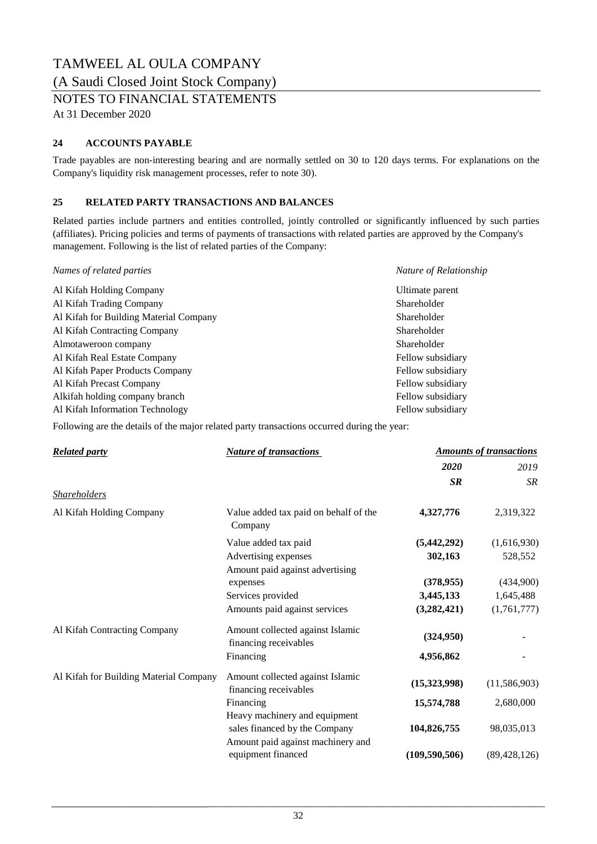(A Saudi Closed Joint Stock Company)

NOTES TO FINANCIAL STATEMENTS

At 31 December 2020

#### **24 ACCOUNTS PAYABLE**

Trade payables are non-interesting bearing and are normally settled on 30 to 120 days terms. For explanations on the Company's liquidity risk management processes, refer to note 30).

#### **25 RELATED PARTY TRANSACTIONS AND BALANCES**

Related parties include partners and entities controlled, jointly controlled or significantly influenced by such parties (affiliates). Pricing policies and terms of payments of transactions with related parties are approved by the Company's management. Following is the list of related parties of the Company:

| Names of related parties               | Nature of Relationship |
|----------------------------------------|------------------------|
| Al Kifah Holding Company               | Ultimate parent        |
| Al Kifah Trading Company               | Shareholder            |
| Al Kifah for Building Material Company | Shareholder            |
| Al Kifah Contracting Company           | Shareholder            |
| Almotaweroon company                   | Shareholder            |
| Al Kifah Real Estate Company           | Fellow subsidiary      |
| Al Kifah Paper Products Company        | Fellow subsidiary      |
| Al Kifah Precast Company               | Fellow subsidiary      |
| Alkifah holding company branch         | Fellow subsidiary      |
| Al Kifah Information Technology        | Fellow subsidiary      |

Following are the details of the major related party transactions occurred during the year:

| <b>Related party</b>                   | <b>Nature of transactions</b>                                                                       | <b>Amounts of transactions</b> |                |
|----------------------------------------|-----------------------------------------------------------------------------------------------------|--------------------------------|----------------|
|                                        |                                                                                                     | 2020                           | 2019           |
|                                        |                                                                                                     | SR                             | <b>SR</b>      |
| <b>Shareholders</b>                    |                                                                                                     |                                |                |
| Al Kifah Holding Company               | Value added tax paid on behalf of the<br>Company                                                    | 4,327,776                      | 2,319,322      |
|                                        | Value added tax paid                                                                                | (5,442,292)                    | (1,616,930)    |
|                                        | Advertising expenses                                                                                | 302,163                        | 528,552        |
|                                        | Amount paid against advertising                                                                     |                                |                |
|                                        | expenses                                                                                            | (378, 955)                     | (434,900)      |
|                                        | Services provided                                                                                   | 3,445,133                      | 1,645,488      |
|                                        | Amounts paid against services                                                                       | (3, 282, 421)                  | (1,761,777)    |
| Al Kifah Contracting Company           | Amount collected against Islamic<br>financing receivables                                           | (324,950)                      |                |
|                                        | Financing                                                                                           | 4,956,862                      |                |
| Al Kifah for Building Material Company | Amount collected against Islamic<br>financing receivables                                           | (15,323,998)                   | (11,586,903)   |
|                                        | Financing                                                                                           | 15,574,788                     | 2,680,000      |
|                                        | Heavy machinery and equipment<br>sales financed by the Company<br>Amount paid against machinery and | 104,826,755                    | 98,035,013     |
|                                        | equipment financed                                                                                  | (109, 590, 506)                | (89, 428, 126) |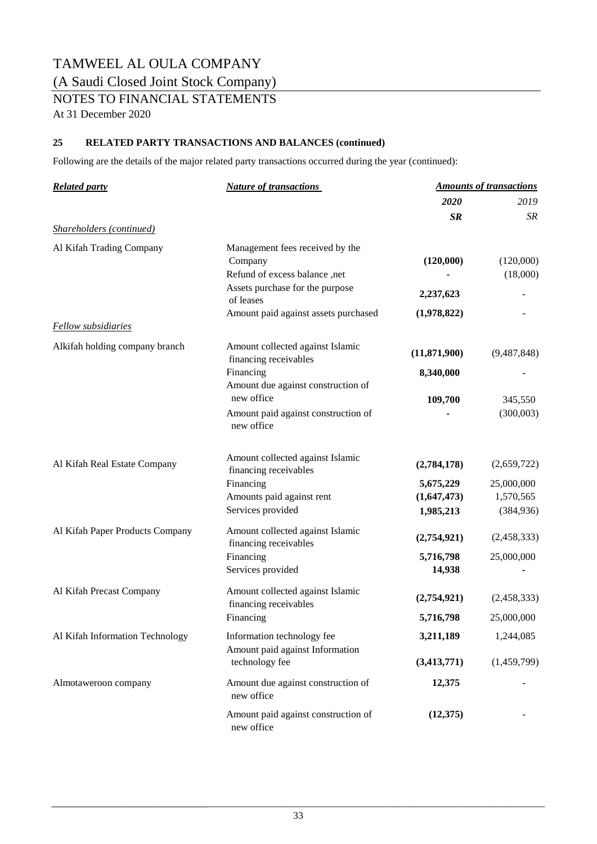### (A Saudi Closed Joint Stock Company)

NOTES TO FINANCIAL STATEMENTS

At 31 December 2020

#### **25 RELATED PARTY TRANSACTIONS AND BALANCES (continued)**

Following are the details of the major related party transactions occurred during the year (continued):

| <b>Related party</b>            | <b>Nature of transactions</b>                     | <b>Amounts of transactions</b> |             |
|---------------------------------|---------------------------------------------------|--------------------------------|-------------|
|                                 |                                                   | 2020                           | 2019        |
|                                 |                                                   | <b>SR</b>                      | <b>SR</b>   |
| Shareholders (continued)        |                                                   |                                |             |
| Al Kifah Trading Company        | Management fees received by the                   |                                |             |
|                                 | Company                                           | (120,000)                      | (120,000)   |
|                                 | Refund of excess balance ,net                     |                                | (18,000)    |
|                                 | Assets purchase for the purpose                   | 2,237,623                      |             |
|                                 | of leases                                         |                                |             |
|                                 | Amount paid against assets purchased              | (1,978,822)                    |             |
| <b>Fellow</b> subsidiaries      |                                                   |                                |             |
| Alkifah holding company branch  | Amount collected against Islamic                  |                                | (9,487,848) |
|                                 | financing receivables                             | (11,871,900)                   |             |
|                                 | Financing                                         | 8,340,000                      |             |
|                                 | Amount due against construction of                |                                |             |
|                                 | new office                                        | 109,700                        | 345,550     |
|                                 | Amount paid against construction of<br>new office |                                | (300,003)   |
|                                 |                                                   |                                |             |
| Al Kifah Real Estate Company    | Amount collected against Islamic                  | (2,784,178)                    | (2,659,722) |
|                                 | financing receivables                             |                                |             |
|                                 | Financing                                         | 5,675,229                      | 25,000,000  |
|                                 | Amounts paid against rent                         | (1,647,473)                    | 1,570,565   |
|                                 | Services provided                                 | 1,985,213                      | (384, 936)  |
| Al Kifah Paper Products Company | Amount collected against Islamic                  |                                |             |
|                                 | financing receivables                             | (2,754,921)                    | (2,458,333) |
|                                 | Financing                                         | 5,716,798                      | 25,000,000  |
|                                 | Services provided                                 | 14,938                         |             |
| Al Kifah Precast Company        | Amount collected against Islamic                  |                                |             |
|                                 | financing receivables                             | (2,754,921)                    | (2,458,333) |
|                                 | Financing                                         | 5,716,798                      | 25,000,000  |
| Al Kifah Information Technology | Information technology fee                        | 3,211,189                      | 1,244,085   |
|                                 | Amount paid against Information                   |                                |             |
|                                 | technology fee                                    | (3,413,771)                    | (1,459,799) |
| Almotaweroon company            | Amount due against construction of<br>new office  | 12,375                         |             |
|                                 | Amount paid against construction of<br>new office | (12,375)                       |             |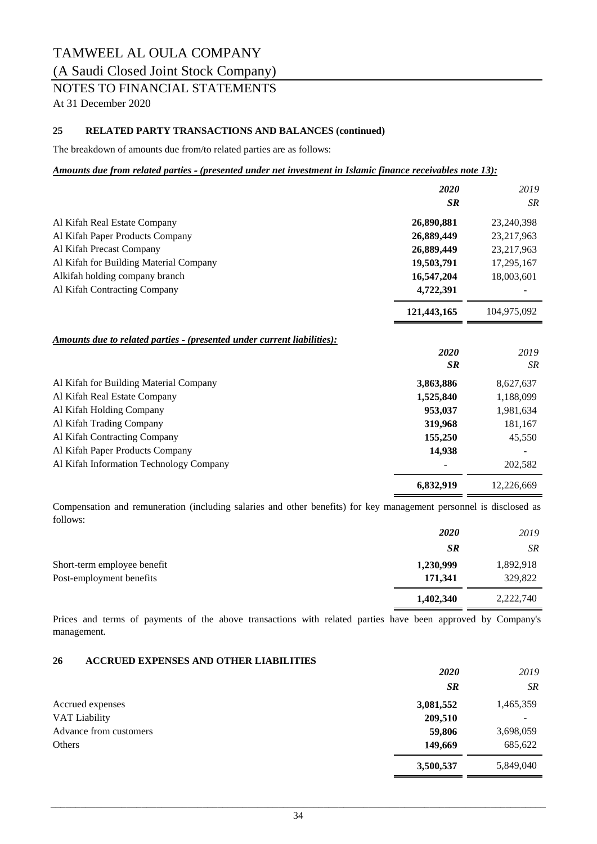(A Saudi Closed Joint Stock Company)

### NOTES TO FINANCIAL STATEMENTS

At 31 December 2020

#### **25 RELATED PARTY TRANSACTIONS AND BALANCES (continued)**

The breakdown of amounts due from/to related parties are as follows:

#### *Amounts due from related parties ‑ (presented under net investment in Islamic finance receivables note 13):*

|                                                                                       | 2020        | 2019        |
|---------------------------------------------------------------------------------------|-------------|-------------|
|                                                                                       | <b>SR</b>   | <b>SR</b>   |
| Al Kifah Real Estate Company                                                          | 26,890,881  | 23,240,398  |
| Al Kifah Paper Products Company                                                       | 26,889,449  | 23,217,963  |
| Al Kifah Precast Company                                                              | 26,889,449  | 23,217,963  |
| Al Kifah for Building Material Company                                                | 19,503,791  | 17,295,167  |
| Alkifah holding company branch                                                        | 16,547,204  | 18,003,601  |
| Al Kifah Contracting Company                                                          | 4,722,391   |             |
|                                                                                       | 121,443,165 | 104,975,092 |
| <u><b>Amounts due to related parties - (presented under current liabilities):</b></u> |             |             |
|                                                                                       | 2020        | 2019        |
|                                                                                       | <b>SR</b>   | <b>SR</b>   |
| Al Kifah for Building Material Company                                                | 3,863,886   | 8,627,637   |
| Al Kifah Real Estate Company                                                          | 1,525,840   | 1,188,099   |
| Al Kifah Holding Company                                                              | 953,037     | 1,981,634   |
| Al Kifah Trading Company                                                              | 319,968     | 181,167     |
| Al Kifah Contracting Company                                                          | 155,250     | 45,550      |
| Al Kifah Paper Products Company                                                       | 14,938      |             |
| Al Kifah Information Technology Company                                               |             | 202,582     |
|                                                                                       | 6,832,919   | 12,226,669  |

Compensation and remuneration (including salaries and other benefits) for key management personnel is disclosed as follows:

|                             | <b>2020</b> | 2019      |
|-----------------------------|-------------|-----------|
|                             | <b>SR</b>   | <b>SR</b> |
| Short-term employee benefit | 1,230,999   | 1,892,918 |
| Post-employment benefits    | 171,341     | 329,822   |
|                             | 1,402,340   | 2,222,740 |

Prices and terms of payments of the above transactions with related parties have been approved by Company's management.

#### **26 ACCRUED EXPENSES AND OTHER LIABILITIES**

|                        | <b>2020</b> | 2019      |
|------------------------|-------------|-----------|
|                        | <b>SR</b>   | <b>SR</b> |
| Accrued expenses       | 3,081,552   | 1,465,359 |
| VAT Liability          | 209,510     | -         |
| Advance from customers | 59,806      | 3,698,059 |
| Others                 | 149,669     | 685,622   |
|                        | 3,500,537   | 5,849,040 |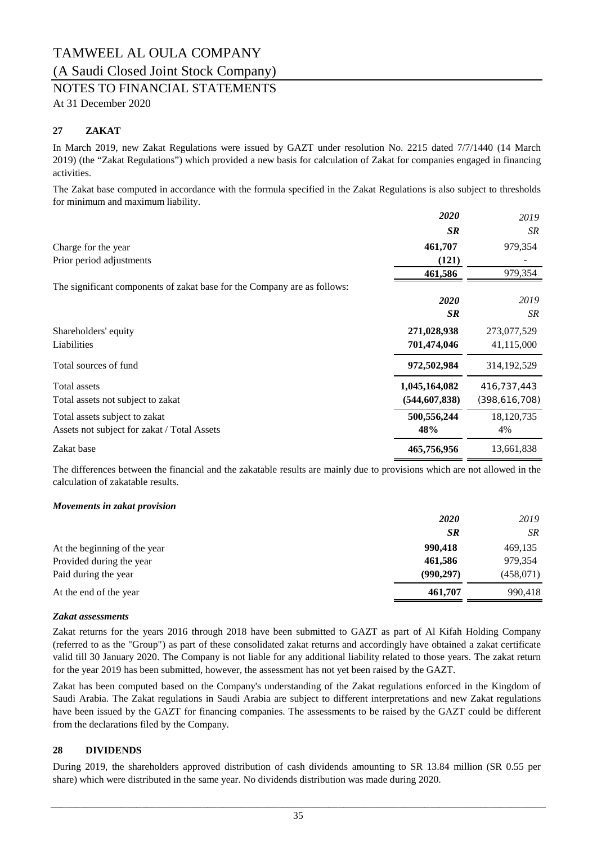### (A Saudi Closed Joint Stock Company)

### NOTES TO FINANCIAL STATEMENTS

At 31 December 2020

#### **27 ZAKAT**

In March 2019, new Zakat Regulations were issued by GAZT under resolution No. 2215 dated 7/7/1440 (14 March 2019) (the "Zakat Regulations") which provided a new basis for calculation of Zakat for companies engaged in financing activities.

The Zakat base computed in accordance with the formula specified in the Zakat Regulations is also subject to thresholds for minimum and maximum liability.

|                                                                          | 2020            | 2019          |
|--------------------------------------------------------------------------|-----------------|---------------|
|                                                                          | <b>SR</b>       | SR            |
| Charge for the year                                                      | 461,707         | 979,354       |
| Prior period adjustments                                                 | (121)           |               |
|                                                                          | 461,586         | 979,354       |
| The significant components of zakat base for the Company are as follows: |                 |               |
|                                                                          | 2020            | 2019          |
|                                                                          | <b>SR</b>       | SR            |
| Shareholders' equity                                                     | 271,028,938     | 273,077,529   |
| Liabilities                                                              | 701,474,046     | 41,115,000    |
| Total sources of fund                                                    | 972,502,984     | 314, 192, 529 |
| Total assets                                                             | 1,045,164,082   | 416,737,443   |
| Total assets not subject to zakat                                        | (544, 607, 838) | (398,616,708) |
| Total assets subject to zakat                                            | 500,556,244     | 18,120,735    |
| Assets not subject for zakat / Total Assets                              | 48%             | 4%            |
| Zakat base                                                               | 465,756,956     | 13,661,838    |

The differences between the financial and the zakatable results are mainly due to provisions which are not allowed in the calculation of zakatable results.

#### *Movements in zakat provision*

|                              | 2020       | 2019      |
|------------------------------|------------|-----------|
|                              | <b>SR</b>  | SR        |
| At the beginning of the year | 990.418    | 469,135   |
| Provided during the year     | 461,586    | 979,354   |
| Paid during the year         | (990, 297) | (458,071) |
| At the end of the year       | 461,707    | 990,418   |

#### *Zakat assessments*

Zakat returns for the years 2016 through 2018 have been submitted to GAZT as part of Al Kifah Holding Company (referred to as the "Group") as part of these consolidated zakat returns and accordingly have obtained a zakat certificate valid till 30 January 2020. The Company is not liable for any additional liability related to those years. The zakat return for the year 2019 has been submitted, however, the assessment has not yet been raised by the GAZT.

Zakat has been computed based on the Company's understanding of the Zakat regulations enforced in the Kingdom of Saudi Arabia. The Zakat regulations in Saudi Arabia are subject to different interpretations and new Zakat regulations have been issued by the GAZT for financing companies. The assessments to be raised by the GAZT could be different from the declarations filed by the Company.

#### **28 DIVIDENDS**

During 2019, the shareholders approved distribution of cash dividends amounting to SR 13.84 million (SR 0.55 per share) which were distributed in the same year. No dividends distribution was made during 2020.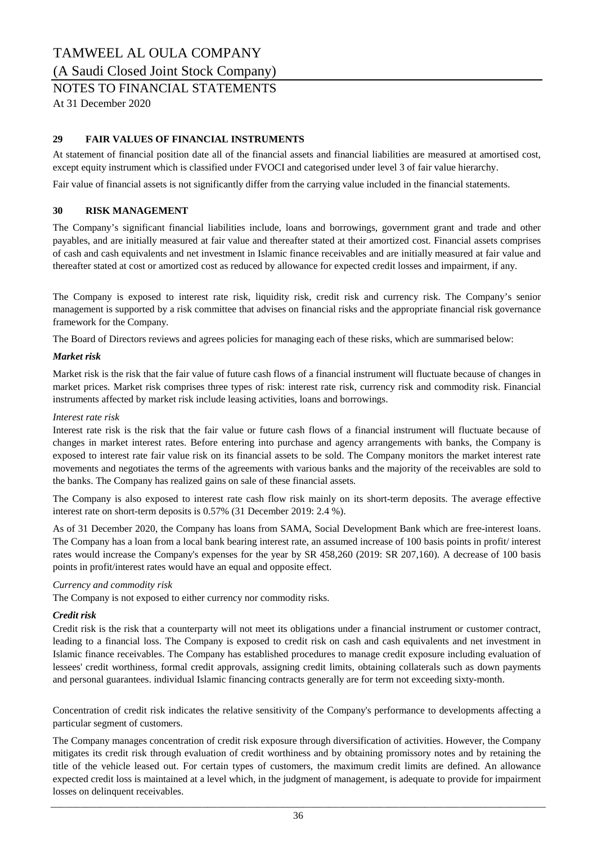#### (A Saudi Closed Joint Stock Company)

### NOTES TO FINANCIAL STATEMENTS

At 31 December 2020

#### **29 FAIR VALUES OF FINANCIAL INSTRUMENTS**

At statement of financial position date all of the financial assets and financial liabilities are measured at amortised cost, except equity instrument which is classified under FVOCI and categorised under level 3 of fair value hierarchy.

Fair value of financial assets is not significantly differ from the carrying value included in the financial statements.

#### **30 RISK MANAGEMENT**

The Company's significant financial liabilities include, loans and borrowings, government grant and trade and other payables, and are initially measured at fair value and thereafter stated at their amortized cost. Financial assets comprises of cash and cash equivalents and net investment in Islamic finance receivables and are initially measured at fair value and thereafter stated at cost or amortized cost as reduced by allowance for expected credit losses and impairment, if any.

The Company is exposed to interest rate risk, liquidity risk, credit risk and currency risk. The Company's senior management is supported by a risk committee that advises on financial risks and the appropriate financial risk governance framework for the Company.

The Board of Directors reviews and agrees policies for managing each of these risks, which are summarised below:

#### *Market risk*

Market risk is the risk that the fair value of future cash flows of a financial instrument will fluctuate because of changes in market prices. Market risk comprises three types of risk: interest rate risk, currency risk and commodity risk. Financial instruments affected by market risk include leasing activities, loans and borrowings.

#### *Interest rate risk*

Interest rate risk is the risk that the fair value or future cash flows of a financial instrument will fluctuate because of changes in market interest rates. Before entering into purchase and agency arrangements with banks, the Company is exposed to interest rate fair value risk on its financial assets to be sold. The Company monitors the market interest rate movements and negotiates the terms of the agreements with various banks and the majority of the receivables are sold to the banks. The Company has realized gains on sale of these financial assets.

The Company is also exposed to interest rate cash flow risk mainly on its short-term deposits. The average effective interest rate on short-term deposits is 0.57% (31 December 2019: 2.4 %).

As of 31 December 2020, the Company has loans from SAMA, Social Development Bank which are free-interest loans. The Company has a loan from a local bank bearing interest rate, an assumed increase of 100 basis points in profit/ interest rates would increase the Company's expenses for the year by SR 458,260 (2019: SR 207,160). A decrease of 100 basis points in profit/interest rates would have an equal and opposite effect.

#### *Currency and commodity risk*

The Company is not exposed to either currency nor commodity risks.

#### *Credit risk*

Credit risk is the risk that a counterparty will not meet its obligations under a financial instrument or customer contract, leading to a financial loss. The Company is exposed to credit risk on cash and cash equivalents and net investment in Islamic finance receivables. The Company has established procedures to manage credit exposure including evaluation of lessees' credit worthiness, formal credit approvals, assigning credit limits, obtaining collaterals such as down payments and personal guarantees. individual Islamic financing contracts generally are for term not exceeding sixty-month.

Concentration of credit risk indicates the relative sensitivity of the Company's performance to developments affecting a particular segment of customers.

The Company manages concentration of credit risk exposure through diversification of activities. However, the Company mitigates its credit risk through evaluation of credit worthiness and by obtaining promissory notes and by retaining the title of the vehicle leased out. For certain types of customers, the maximum credit limits are defined. An allowance expected credit loss is maintained at a level which, in the judgment of management, is adequate to provide for impairment losses on delinquent receivables.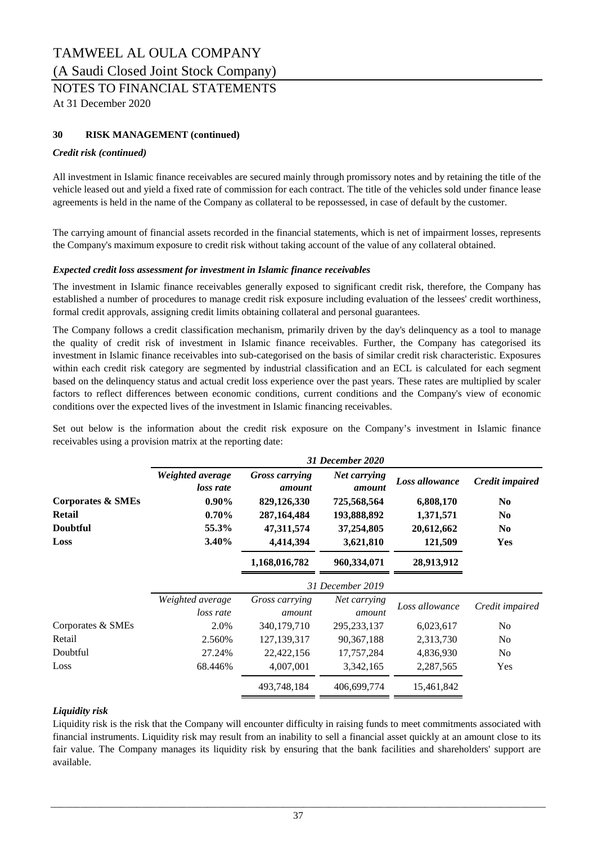### TAMWEEL AL OULA COMPANY (A Saudi Closed Joint Stock Company)

NOTES TO FINANCIAL STATEMENTS

At 31 December 2020

### **30 RISK MANAGEMENT (continued)**

#### *Credit risk (continued)*

All investment in Islamic finance receivables are secured mainly through promissory notes and by retaining the title of the vehicle leased out and yield a fixed rate of commission for each contract. The title of the vehicles sold under finance lease agreements is held in the name of the Company as collateral to be repossessed, in case of default by the customer.

The carrying amount of financial assets recorded in the financial statements, which is net of impairment losses, represents the Company's maximum exposure to credit risk without taking account of the value of any collateral obtained.

#### *Expected credit loss assessment for investment in Islamic finance receivables*

The investment in Islamic finance receivables generally exposed to significant credit risk, therefore, the Company has established a number of procedures to manage credit risk exposure including evaluation of the lessees' credit worthiness, formal credit approvals, assigning credit limits obtaining collateral and personal guarantees.

The Company follows a credit classification mechanism, primarily driven by the day's delinquency as a tool to manage the quality of credit risk of investment in Islamic finance receivables. Further, the Company has categorised its investment in Islamic finance receivables into sub-categorised on the basis of similar credit risk characteristic. Exposures within each credit risk category are segmented by industrial classification and an ECL is calculated for each segment based on the delinquency status and actual credit loss experience over the past years. These rates are multiplied by scaler factors to reflect differences between economic conditions, current conditions and the Company's view of economic conditions over the expected lives of the investment in Islamic financing receivables.

Set out below is the information about the credit risk exposure on the Company's investment in Islamic finance receivables using a provision matrix at the reporting date:

|                   |                               |                                 | 31 December 2020       |                |                 |
|-------------------|-------------------------------|---------------------------------|------------------------|----------------|-----------------|
|                   | Weighted average<br>loss rate | <b>Gross carrying</b><br>amount | Net carrying<br>amount | Loss allowance | Credit impaired |
| Corporates & SMEs | $0.90\%$                      | 829,126,330                     | 725,568,564            | 6,808,170      | N <sub>0</sub>  |
| <b>Retail</b>     | $0.70\%$                      | 287, 164, 484                   | 193,888,892            | 1,371,571      | N <sub>0</sub>  |
| <b>Doubtful</b>   | 55.3%                         | 47,311,574                      | 37,254,805             | 20,612,662     | N <sub>0</sub>  |
| Loss              | 3.40%                         | 4,414,394                       | 3,621,810              | 121,509        | <b>Yes</b>      |
|                   |                               | 1,168,016,782                   | 960,334,071            | 28,913,912     |                 |
|                   |                               |                                 | 31 December 2019       |                |                 |
|                   | Weighted average              | Gross carrying                  | Net carrying           | Loss allowance | Credit impaired |
|                   | loss rate                     | amount                          | amount                 |                |                 |
| Corporates & SMEs | 2.0%                          | 340,179,710                     | 295, 233, 137          | 6,023,617      | No              |
| Retail            | 2.560%                        | 127, 139, 317                   | 90, 367, 188           | 2,313,730      | N <sub>0</sub>  |
| Doubtful          | 27.24%                        | 22,422,156                      | 17,757,284             | 4,836,930      | N <sub>o</sub>  |
| Loss              | 68.446%                       | 4,007,001                       | 3,342,165              | 2,287,565      | Yes             |
|                   |                               | 493,748,184                     | 406,699,774            | 15,461,842     |                 |

### *Liquidity risk*

Liquidity risk is the risk that the Company will encounter difficulty in raising funds to meet commitments associated with financial instruments. Liquidity risk may result from an inability to sell a financial asset quickly at an amount close to its fair value. The Company manages its liquidity risk by ensuring that the bank facilities and shareholders' support are available.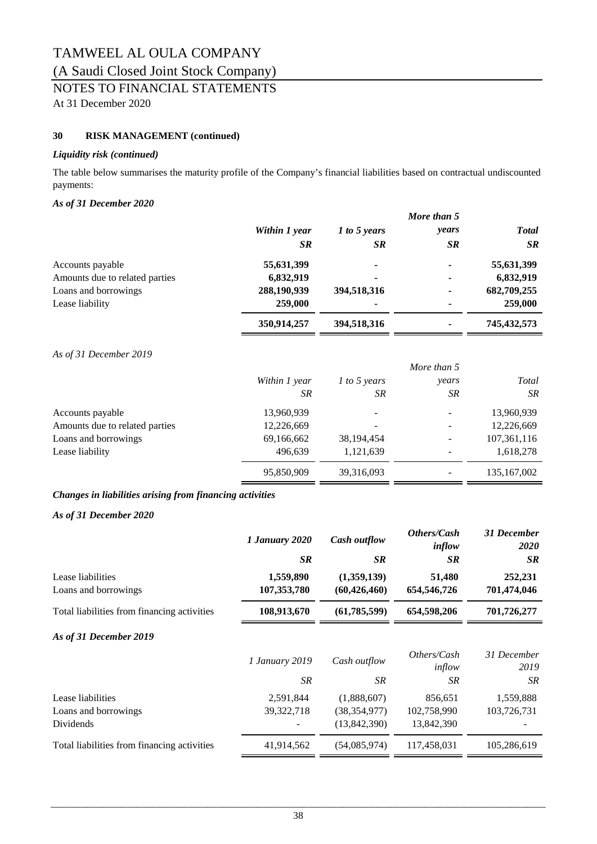### (A Saudi Closed Joint Stock Company)

### NOTES TO FINANCIAL STATEMENTS

At 31 December 2020

#### **30 RISK MANAGEMENT (continued)**

#### *Liquidity risk (continued)*

The table below summarises the maturity profile of the Company's financial liabilities based on contractual undiscounted payments:

#### *As of 31 December 2020*

|                                |               |              | More than 5 |               |
|--------------------------------|---------------|--------------|-------------|---------------|
|                                | Within 1 year | 1 to 5 years | years       | <b>Total</b>  |
|                                | <b>SR</b>     | <b>SR</b>    | <b>SR</b>   | <b>SR</b>     |
| Accounts payable               | 55,631,399    | ٠            | ۰           | 55,631,399    |
| Amounts due to related parties | 6,832,919     | ۰            | ۰           | 6,832,919     |
| Loans and borrowings           | 288,190,939   | 394,518,316  | ۰           | 682,709,255   |
| Lease liability                | 259,000       | ٠            | ۰           | 259,000       |
|                                | 350,914,257   | 394,518,316  |             | 745, 432, 573 |

#### *As of 31 December 2019*

|                                | More than 5   |                          |       |               |
|--------------------------------|---------------|--------------------------|-------|---------------|
|                                | Within 1 year | 1 to 5 years             | years | Total         |
|                                | <b>SR</b>     | SR                       | SR    | <b>SR</b>     |
| Accounts payable               | 13,960,939    | $\overline{\phantom{a}}$ |       | 13,960,939    |
| Amounts due to related parties | 12,226,669    |                          |       | 12,226,669    |
| Loans and borrowings           | 69,166,662    | 38, 194, 454             |       | 107,361,116   |
| Lease liability                | 496,639       | 1,121,639                |       | 1,618,278     |
|                                | 95,850,909    | 39,316,093               |       | 135, 167, 002 |

#### *Changes in liabilities arising from financing activities*

#### *As of 31 December 2020*

|                                                        | 1 January 2020<br><b>SR</b> | <b>Cash outflow</b><br><b>SR</b>              | Others/Cash<br>inflow<br><b>SR</b>   | 31 December<br><b>2020</b><br><b>SR</b> |
|--------------------------------------------------------|-----------------------------|-----------------------------------------------|--------------------------------------|-----------------------------------------|
| Lease liabilities<br>Loans and borrowings              | 1,559,890<br>107, 353, 780  | (1,359,139)<br>(60, 426, 460)                 | 51,480<br>654,546,726                | 252,231<br>701,474,046                  |
| Total liabilities from financing activities            | 108,913,670                 | (61, 785, 599)                                | 654,598,206                          | 701,726,277                             |
| As of 31 December 2019                                 |                             |                                               |                                      |                                         |
|                                                        | <i>1 January 2019</i>       | Cash outflow                                  | Others/Cash<br>inflow                | 31 December<br>2019                     |
|                                                        | <b>SR</b>                   | SR                                            | SR                                   | SR                                      |
| Lease liabilities<br>Loans and borrowings<br>Dividends | 2,591,844<br>39, 322, 718   | (1,888,607)<br>(38, 354, 977)<br>(13,842,390) | 856,651<br>102,758,990<br>13,842,390 | 1,559,888<br>103,726,731                |
| Total liabilities from financing activities            | 41,914,562                  | (54,085,974)                                  | 117,458,031                          | 105,286,619                             |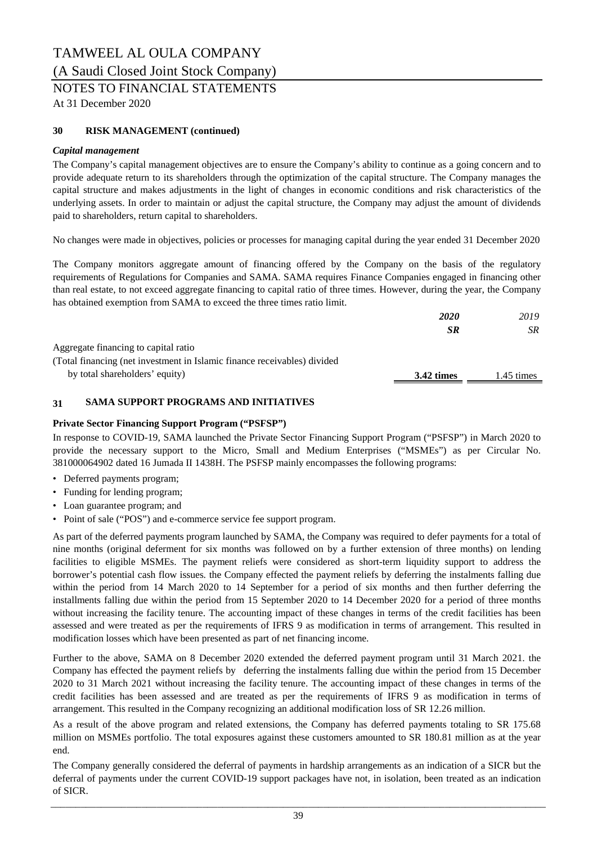### TAMWEEL AL OULA COMPANY (A Saudi Closed Joint Stock Company)

### NOTES TO FINANCIAL STATEMENTS

At 31 December 2020

#### **30 RISK MANAGEMENT (continued)**

#### *Capital management*

The Company's capital management objectives are to ensure the Company's ability to continue as a going concern and to provide adequate return to its shareholders through the optimization of the capital structure. The Company manages the capital structure and makes adjustments in the light of changes in economic conditions and risk characteristics of the underlying assets. In order to maintain or adjust the capital structure, the Company may adjust the amount of dividends paid to shareholders, return capital to shareholders.

No changes were made in objectives, policies or processes for managing capital during the year ended 31 December 2020

The Company monitors aggregate amount of financing offered by the Company on the basis of the regulatory requirements of Regulations for Companies and SAMA. SAMA requires Finance Companies engaged in financing other than real estate, to not exceed aggregate financing to capital ratio of three times. However, during the year, the Company has obtained exemption from SAMA to exceed the three times ratio limit.

|                                                                          | <b>2020</b> | 2019       |
|--------------------------------------------------------------------------|-------------|------------|
|                                                                          | <b>SR</b>   | SR         |
| Aggregate financing to capital ratio                                     |             |            |
| (Total financing (net investment in Islamic finance receivables) divided |             |            |
| by total shareholders' equity)                                           | 3.42 times  | 1.45 times |
|                                                                          |             |            |

#### **31 SAMA SUPPORT PROGRAMS AND INITIATIVES**

#### **Private Sector Financing Support Program ("PSFSP")**

In response to COVID-19, SAMA launched the Private Sector Financing Support Program ("PSFSP") in March 2020 to provide the necessary support to the Micro, Small and Medium Enterprises ("MSMEs") as per Circular No. 381000064902 dated 16 Jumada II 1438H. The PSFSP mainly encompasses the following programs:

- Deferred payments program;
- Funding for lending program;
- Loan guarantee program; and
- Point of sale ("POS") and e-commerce service fee support program.

As part of the deferred payments program launched by SAMA, the Company was required to defer payments for a total of nine months (original deferment for six months was followed on by a further extension of three months) on lending facilities to eligible MSMEs. The payment reliefs were considered as short-term liquidity support to address the borrower's potential cash flow issues. the Company effected the payment reliefs by deferring the instalments falling due within the period from 14 March 2020 to 14 September for a period of six months and then further deferring the installments falling due within the period from 15 September 2020 to 14 December 2020 for a period of three months without increasing the facility tenure. The accounting impact of these changes in terms of the credit facilities has been assessed and were treated as per the requirements of IFRS 9 as modification in terms of arrangement. This resulted in modification losses which have been presented as part of net financing income.

Further to the above, SAMA on 8 December 2020 extended the deferred payment program until 31 March 2021. the Company has effected the payment reliefs by deferring the instalments falling due within the period from 15 December 2020 to 31 March 2021 without increasing the facility tenure. The accounting impact of these changes in terms of the credit facilities has been assessed and are treated as per the requirements of IFRS 9 as modification in terms of arrangement. This resulted in the Company recognizing an additional modification loss of SR 12.26 million.

As a result of the above program and related extensions, the Company has deferred payments totaling to SR 175.68 million on MSMEs portfolio. The total exposures against these customers amounted to SR 180.81 million as at the year end.

The Company generally considered the deferral of payments in hardship arrangements as an indication of a SICR but the deferral of payments under the current COVID-19 support packages have not, in isolation, been treated as an indication of SICR.